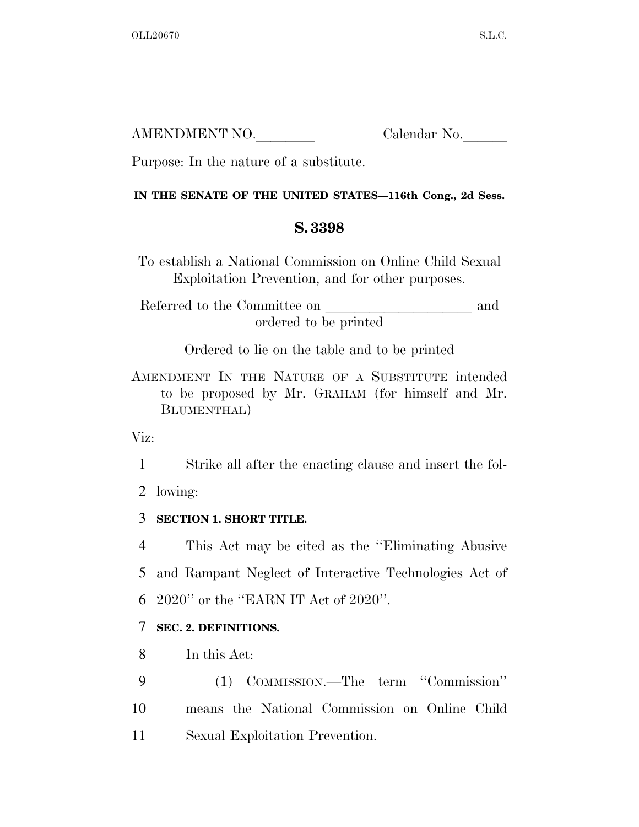| AMENDMENT NO. | Calendar No. |
|---------------|--------------|
|               |              |

Purpose: In the nature of a substitute.

### **IN THE SENATE OF THE UNITED STATES—116th Cong., 2d Sess.**

## **S. 3398**

To establish a National Commission on Online Child Sexual Exploitation Prevention, and for other purposes.

Referred to the Committee on and ordered to be printed

Ordered to lie on the table and to be printed

AMENDMENT IN THE NATURE OF A SUBSTITUTE intended to be proposed by Mr. GRAHAM (for himself and Mr. BLUMENTHAL)

Viz:

1 Strike all after the enacting clause and insert the fol-

2 lowing:

## 3 **SECTION 1. SHORT TITLE.**

4 This Act may be cited as the ''Eliminating Abusive 5 and Rampant Neglect of Interactive Technologies Act of 6 2020'' or the ''EARN IT Act of 2020''.

## 7 **SEC. 2. DEFINITIONS.**

8 In this Act:

9 (1) COMMISSION.—The term ''Commission'' 10 means the National Commission on Online Child 11 Sexual Exploitation Prevention.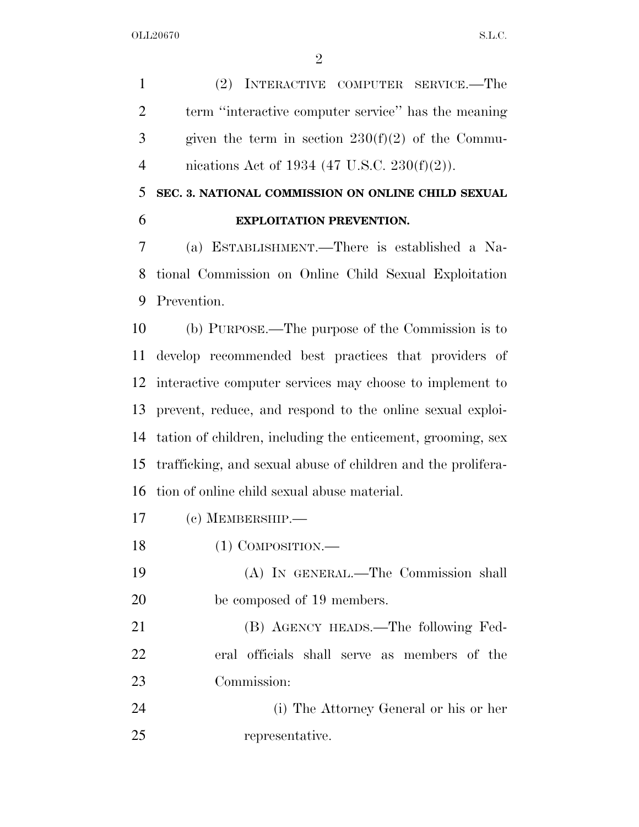(2) INTERACTIVE COMPUTER SERVICE.—The term ''interactive computer service'' has the meaning given the term in section  $230(f)(2)$  of the Commu-nications Act of 1934 (47 U.S.C. 230(f)(2)).

# **SEC. 3. NATIONAL COMMISSION ON ONLINE CHILD SEXUAL EXPLOITATION PREVENTION.**

 (a) ESTABLISHMENT.—There is established a Na- tional Commission on Online Child Sexual Exploitation Prevention.

 (b) PURPOSE.—The purpose of the Commission is to develop recommended best practices that providers of interactive computer services may choose to implement to prevent, reduce, and respond to the online sexual exploi- tation of children, including the enticement, grooming, sex trafficking, and sexual abuse of children and the prolifera-tion of online child sexual abuse material.

- (c) MEMBERSHIP.—
- 18 (1) COMPOSITION.—
- (A) IN GENERAL.—The Commission shall be composed of 19 members.

 (B) AGENCY HEADS.—The following Fed- eral officials shall serve as members of the Commission:

 (i) The Attorney General or his or her representative.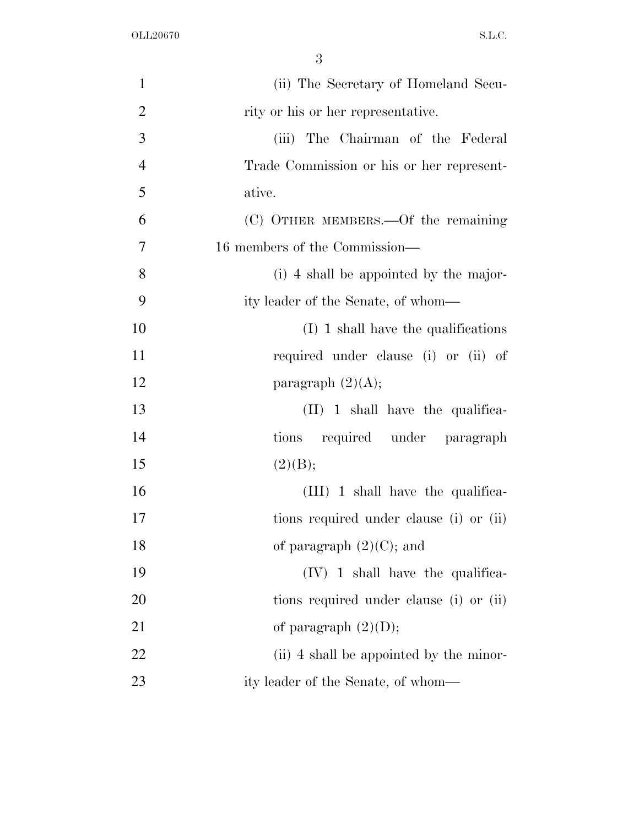| $\mathbf{1}$   | (ii) The Secretary of Homeland Secu-      |
|----------------|-------------------------------------------|
| $\overline{2}$ | rity or his or her representative.        |
| 3              | (iii) The Chairman of the Federal         |
| $\overline{4}$ | Trade Commission or his or her represent- |
| 5              | ative.                                    |
| 6              | (C) OTHER MEMBERS.—Of the remaining       |
| $\overline{7}$ | 16 members of the Commission—             |
| 8              | (i) 4 shall be appointed by the major-    |
| 9              | ity leader of the Senate, of whom—        |
| 10             | $(I)$ 1 shall have the qualifications     |
| 11             | required under clause (i) or (ii) of      |
| 12             | paragraph $(2)(A);$                       |
| 13             | $(II)$ 1 shall have the qualifica-        |
| 14             | tions required under paragraph            |
| 15             | (2)(B);                                   |
| 16             | $(III)$ 1 shall have the qualifica-       |
| 17             | tions required under clause (i) or (ii)   |
| 18             | of paragraph $(2)(C)$ ; and               |
| 19             | $(IV)$ 1 shall have the qualifica-        |
| 20             | tions required under clause (i) or (ii)   |
| 21             | of paragraph $(2)(D)$ ;                   |
| 22             | (ii) 4 shall be appointed by the minor-   |
| 23             | ity leader of the Senate, of whom—        |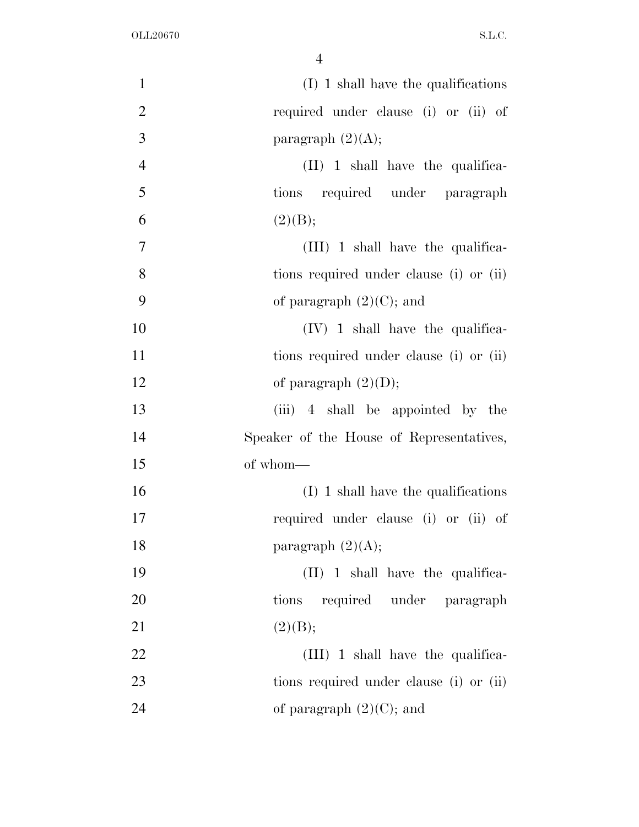| $\mathbf{1}$   | $(I)$ 1 shall have the qualifications    |
|----------------|------------------------------------------|
| $\overline{2}$ | required under clause (i) or (ii) of     |
| 3              | paragraph $(2)(A);$                      |
| $\overline{4}$ | $(II)$ 1 shall have the qualifica-       |
| 5              | tions required under paragraph           |
| 6              | (2)(B);                                  |
| $\tau$         | (III) 1 shall have the qualifica-        |
| 8              | tions required under clause (i) or (ii)  |
| 9              | of paragraph $(2)(C)$ ; and              |
| 10             | $(IV)$ 1 shall have the qualifica-       |
| 11             | tions required under clause (i) or (ii)  |
| 12             | of paragraph $(2)(D)$ ;                  |
| 13             | (iii) 4 shall be appointed by the        |
| 14             | Speaker of the House of Representatives, |
| 15             | of whom-                                 |
| 16             | $(I)$ 1 shall have the qualifications    |
| 17             | required under clause (i) or (ii) of     |
| 18             | paragraph $(2)(A);$                      |
| 19             | $(II)$ 1 shall have the qualifica-       |
| 20             | required under paragraph<br>tions        |
| 21             | (2)(B);                                  |
| 22             | $(III)$ 1 shall have the qualifica-      |
| 23             | tions required under clause (i) or (ii)  |
| 24             | of paragraph $(2)(C)$ ; and              |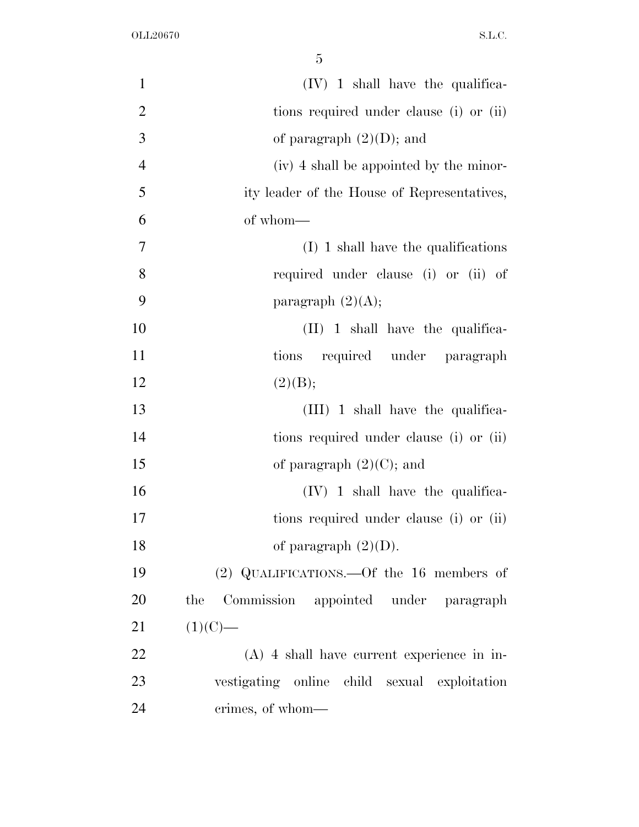| $\mathbf{1}$   | $(IV)$ 1 shall have the qualifica-           |
|----------------|----------------------------------------------|
| $\overline{2}$ | tions required under clause (i) or (ii)      |
| 3              | of paragraph $(2)(D)$ ; and                  |
| $\overline{4}$ | (iv) 4 shall be appointed by the minor-      |
| 5              | ity leader of the House of Representatives,  |
| 6              | of whom-                                     |
| $\overline{7}$ | $(I)$ 1 shall have the qualifications        |
| 8              | required under clause (i) or (ii) of         |
| 9              | paragraph $(2)(A);$                          |
| 10             | $(II)$ 1 shall have the qualifica-           |
| 11             | tions required under paragraph               |
| 12             | (2)(B);                                      |
| 13             | $(III)$ 1 shall have the qualifica-          |
| 14             | tions required under clause (i) or (ii)      |
| 15             | of paragraph $(2)(C)$ ; and                  |
| 16             | $(IV)$ 1 shall have the qualifica-           |
| 17             | tions required under clause (i) or (ii)      |
| 18             | of paragraph $(2)(D)$ .                      |
| 19             | (2) QUALIFICATIONS.—Of the 16 members of     |
| 20             | Commission appointed under paragraph<br>the  |
| 21             | $(1)(C)$ —                                   |
| 22             | $(A)$ 4 shall have current experience in in- |
| 23             | vestigating online child sexual exploitation |
| 24             | crimes, of whom-                             |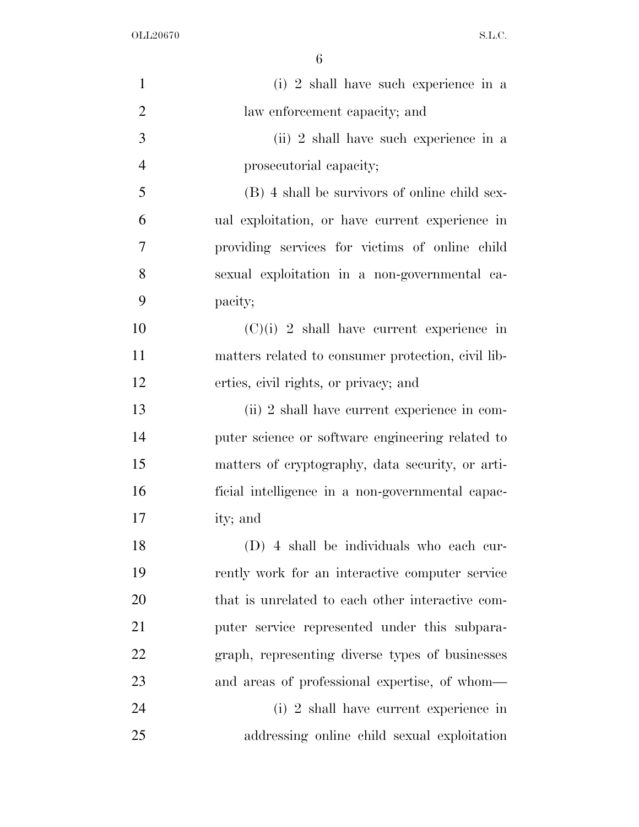| $\mathbf{1}$   | (i) 2 shall have such experience in a              |
|----------------|----------------------------------------------------|
| $\overline{2}$ | law enforcement capacity; and                      |
| 3              | (ii) 2 shall have such experience in a             |
| $\overline{4}$ | prosecutorial capacity;                            |
| 5              | (B) 4 shall be survivors of online child sex-      |
| 6              | ual exploitation, or have current experience in    |
| $\overline{7}$ | providing services for victims of online child     |
| 8              | sexual exploitation in a non-governmental ca-      |
| 9              | pacity;                                            |
| 10             | $(C)(i)$ 2 shall have current experience in        |
| 11             | matters related to consumer protection, civil lib- |
| 12             | erties, civil rights, or privacy; and              |
| 13             | (ii) 2 shall have current experience in com-       |
| 14             | puter science or software engineering related to   |
| 15             | matters of cryptography, data security, or arti-   |
| 16             | ficial intelligence in a non-governmental capac-   |
| 17             | ity; and                                           |
| 18             | (D) 4 shall be individuals who each cur-           |
| 19             | rently work for an interactive computer service    |
| 20             | that is unrelated to each other interactive com-   |
| 21             | puter service represented under this subpara-      |
| 22             | graph, representing diverse types of businesses    |
| 23             | and areas of professional expertise, of whom—      |
| 24             | (i) 2 shall have current experience in             |
| 25             | addressing online child sexual exploitation        |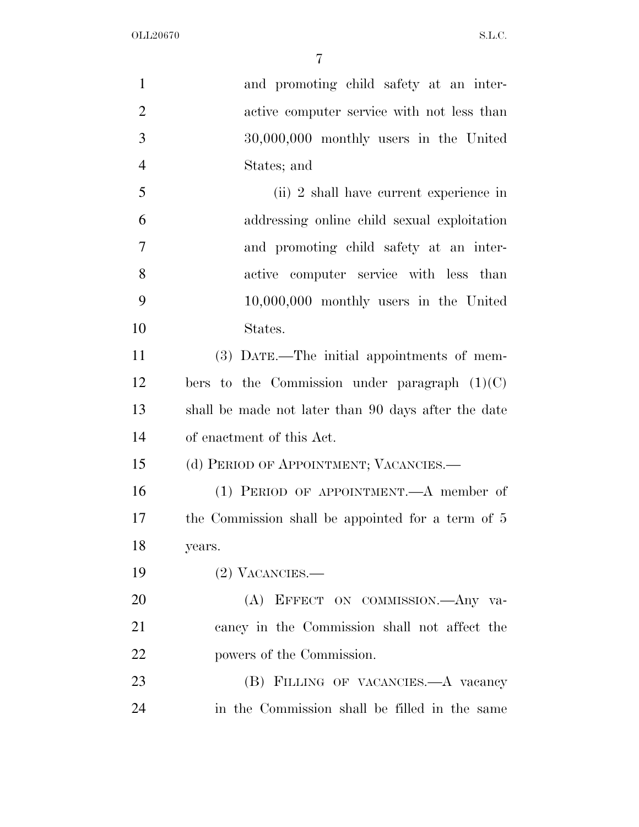| $\mathbf{1}$   | and promoting child safety at an inter-             |
|----------------|-----------------------------------------------------|
| $\overline{2}$ | active computer service with not less than          |
| 3              | 30,000,000 monthly users in the United              |
| $\overline{4}$ | States; and                                         |
| 5              | (ii) 2 shall have current experience in             |
| 6              | addressing online child sexual exploitation         |
| $\overline{7}$ | and promoting child safety at an inter-             |
| 8              | active computer service with less than              |
| 9              | $10,000,000$ monthly users in the United            |
| 10             | States.                                             |
| 11             | (3) DATE.—The initial appointments of mem-          |
| 12             | bers to the Commission under paragraph $(1)(C)$     |
| 13             | shall be made not later than 90 days after the date |
| 14             | of enactment of this Act.                           |
| 15             | (d) PERIOD OF APPOINTMENT; VACANCIES.—              |
| 16             | (1) PERIOD OF APPOINTMENT.—A member of              |
| 17             | the Commission shall be appointed for a term of 5   |
| 18             | years.                                              |
| 19             | $(2)$ VACANCIES.—                                   |
| 20             | (A) EFFECT ON COMMISSION. Any va-                   |
| 21             | cancy in the Commission shall not affect the        |
| 22             | powers of the Commission.                           |
| 23             | (B) FILLING OF VACANCIES.—A vacancy                 |
| 24             | in the Commission shall be filled in the same       |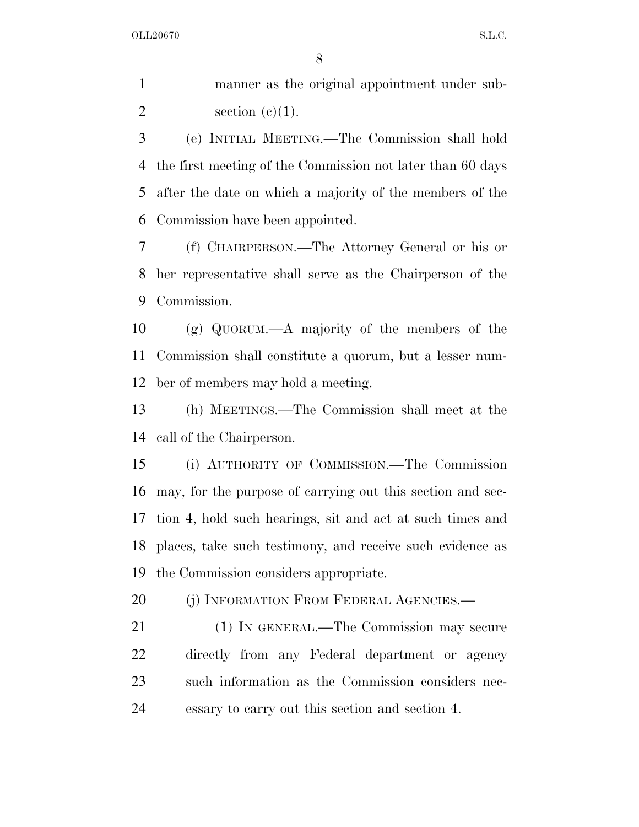manner as the original appointment under sub-2 section  $(c)(1)$ .

 (e) INITIAL MEETING.—The Commission shall hold the first meeting of the Commission not later than 60 days after the date on which a majority of the members of the Commission have been appointed.

 (f) CHAIRPERSON.—The Attorney General or his or her representative shall serve as the Chairperson of the Commission.

 (g) QUORUM.—A majority of the members of the Commission shall constitute a quorum, but a lesser num-ber of members may hold a meeting.

 (h) MEETINGS.—The Commission shall meet at the call of the Chairperson.

 (i) AUTHORITY OF COMMISSION.—The Commission may, for the purpose of carrying out this section and sec- tion 4, hold such hearings, sit and act at such times and places, take such testimony, and receive such evidence as the Commission considers appropriate.

20 (i) INFORMATION FROM FEDERAL AGENCIES.—

 (1) IN GENERAL.—The Commission may secure directly from any Federal department or agency such information as the Commission considers nec-essary to carry out this section and section 4.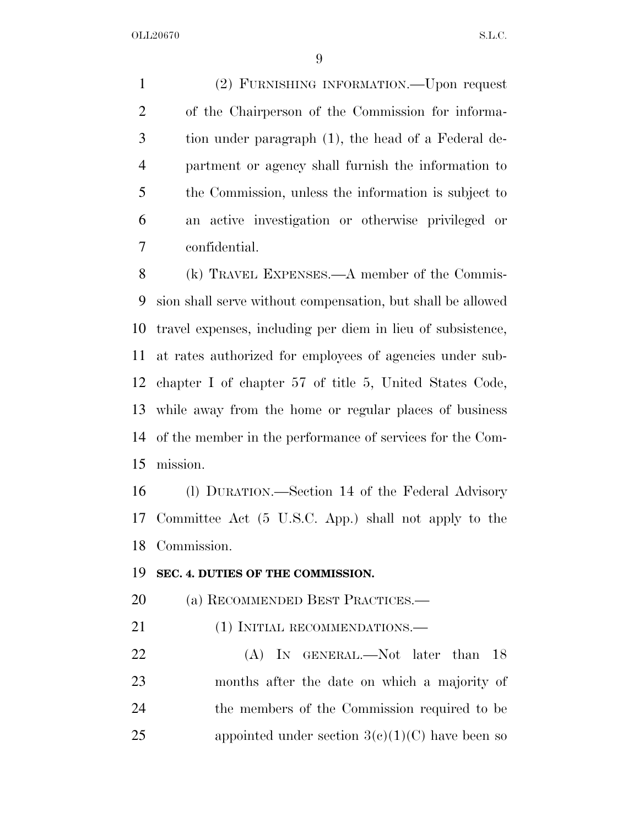(2) FURNISHING INFORMATION.—Upon request of the Chairperson of the Commission for informa- tion under paragraph (1), the head of a Federal de- partment or agency shall furnish the information to the Commission, unless the information is subject to an active investigation or otherwise privileged or confidential.

 (k) TRAVEL EXPENSES.—A member of the Commis- sion shall serve without compensation, but shall be allowed travel expenses, including per diem in lieu of subsistence, at rates authorized for employees of agencies under sub- chapter I of chapter 57 of title 5, United States Code, while away from the home or regular places of business of the member in the performance of services for the Com-mission.

 (l) DURATION.—Section 14 of the Federal Advisory Committee Act (5 U.S.C. App.) shall not apply to the Commission.

#### **SEC. 4. DUTIES OF THE COMMISSION.**

(a) RECOMMENDED BEST PRACTICES.—

21 (1) INITIAL RECOMMENDATIONS.—

22 (A) In GENERAL.—Not later than 18 months after the date on which a majority of the members of the Commission required to be 25 appointed under section  $3(c)(1)(C)$  have been so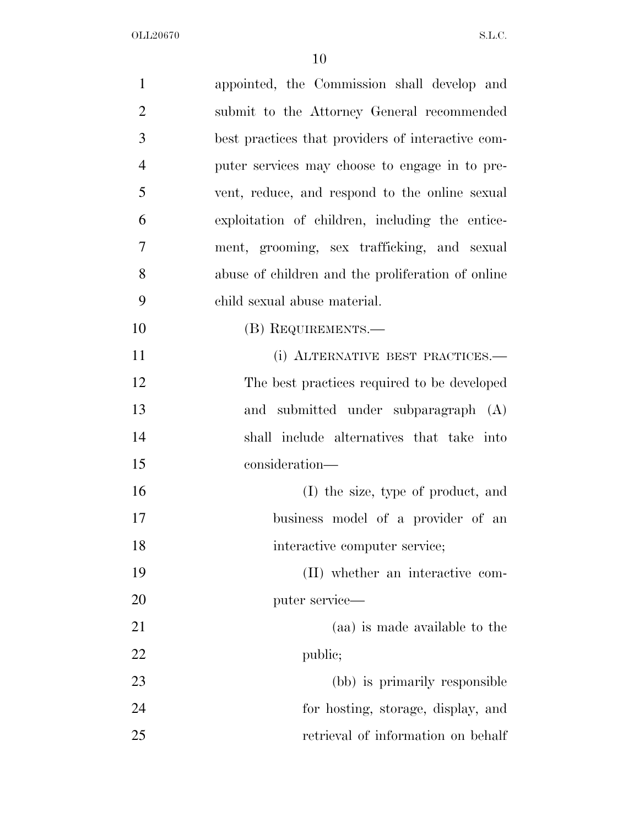| $\mathbf{1}$   | appointed, the Commission shall develop and       |
|----------------|---------------------------------------------------|
| $\overline{2}$ | submit to the Attorney General recommended        |
| 3              | best practices that providers of interactive com- |
| $\overline{4}$ | puter services may choose to engage in to pre-    |
| 5              | vent, reduce, and respond to the online sexual    |
| 6              | exploitation of children, including the entice-   |
| 7              | ment, grooming, sex trafficking, and sexual       |
| 8              | abuse of children and the proliferation of online |
| 9              | child sexual abuse material.                      |
| 10             | (B) REQUIREMENTS.—                                |
| 11             | (i) ALTERNATIVE BEST PRACTICES.-                  |
| 12             | The best practices required to be developed       |
| 13             | and submitted under subparagraph (A)              |
| 14             | shall include alternatives that take into         |
| 15             | consideration—                                    |
| 16             | (I) the size, type of product, and                |
| 17             | business model of a provider of an                |
| 18             | interactive computer service;                     |
| 19             | (II) whether an interactive com-                  |
| 20             | puter service—                                    |
| 21             | (aa) is made available to the                     |
| <u>22</u>      | public;                                           |
| 23             | (bb) is primarily responsible                     |
| 24             | for hosting, storage, display, and                |
| 25             | retrieval of information on behalf                |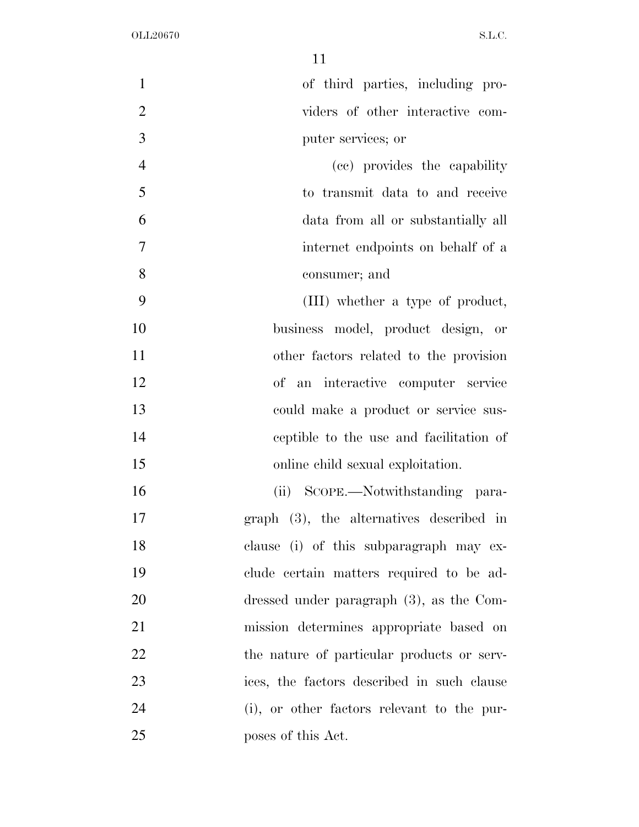| $\mathbf{1}$   | of third parties, including pro-            |
|----------------|---------------------------------------------|
| $\overline{2}$ | viders of other interactive com-            |
| 3              | puter services; or                          |
| $\overline{4}$ | (cc) provides the capability                |
| 5              | to transmit data to and receive             |
| 6              | data from all or substantially all          |
| 7              | internet endpoints on behalf of a           |
| 8              | consumer; and                               |
| 9              | (III) whether a type of product,            |
| 10             | business model, product design, or          |
| 11             | other factors related to the provision      |
| 12             | of an interactive computer service          |
| 13             | could make a product or service sus-        |
| 14             | ceptible to the use and facilitation of     |
| 15             | online child sexual exploitation.           |
| 16             | (ii) SCOPE.—Notwithstanding para-           |
| 17             | $graph$ (3), the alternatives described in  |
| 18             | clause (i) of this subparagraph may ex-     |
| 19             | clude certain matters required to be ad-    |
| 20             | dressed under paragraph $(3)$ , as the Com- |
| 21             | mission determines appropriate based on     |
| 22             | the nature of particular products or serv-  |
| 23             | ices, the factors described in such clause  |
| 24             | (i), or other factors relevant to the pur-  |
| 25             | poses of this Act.                          |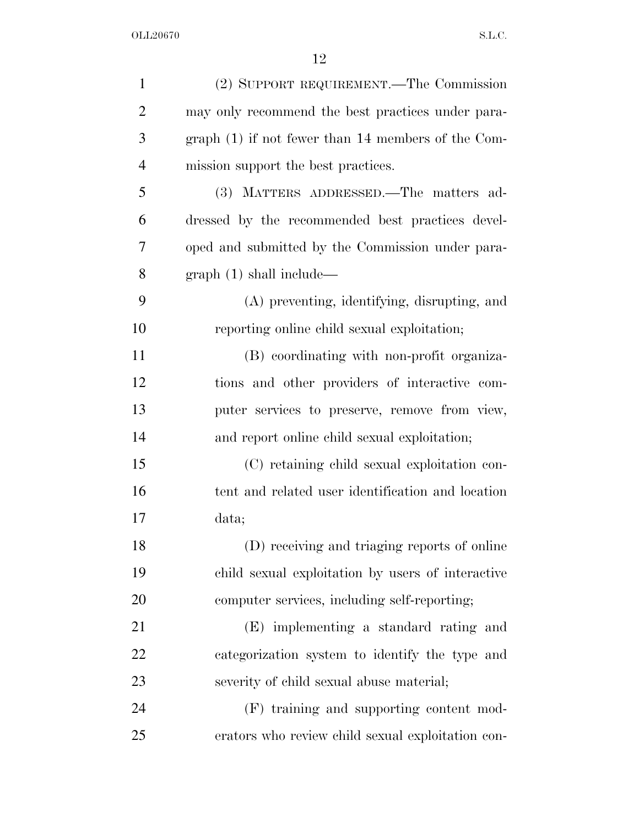| $\mathbf{1}$   | (2) SUPPORT REQUIREMENT.—The Commission              |
|----------------|------------------------------------------------------|
| $\overline{2}$ | may only recommend the best practices under para-    |
| 3              | graph $(1)$ if not fewer than 14 members of the Com- |
| $\overline{4}$ | mission support the best practices.                  |
| 5              | (3) MATTERS ADDRESSED.—The matters ad-               |
| 6              | dressed by the recommended best practices devel-     |
| 7              | oped and submitted by the Commission under para-     |
| 8              | graph(1) shall include—                              |
| 9              | (A) preventing, identifying, disrupting, and         |
| 10             | reporting online child sexual exploitation;          |
| 11             | (B) coordinating with non-profit organiza-           |
| 12             | tions and other providers of interactive com-        |
| 13             | puter services to preserve, remove from view,        |
| 14             | and report online child sexual exploitation;         |
| 15             | (C) retaining child sexual exploitation con-         |
| 16             | tent and related user identification and location    |
| 17             | data;                                                |
| 18             | (D) receiving and triaging reports of online         |
| 19             | child sexual exploitation by users of interactive    |
| 20             | computer services, including self-reporting;         |
| 21             | (E) implementing a standard rating and               |
| 22             | categorization system to identify the type and       |
| 23             | severity of child sexual abuse material;             |
| 24             | (F) training and supporting content mod-             |
| 25             | erators who review child sexual exploitation con-    |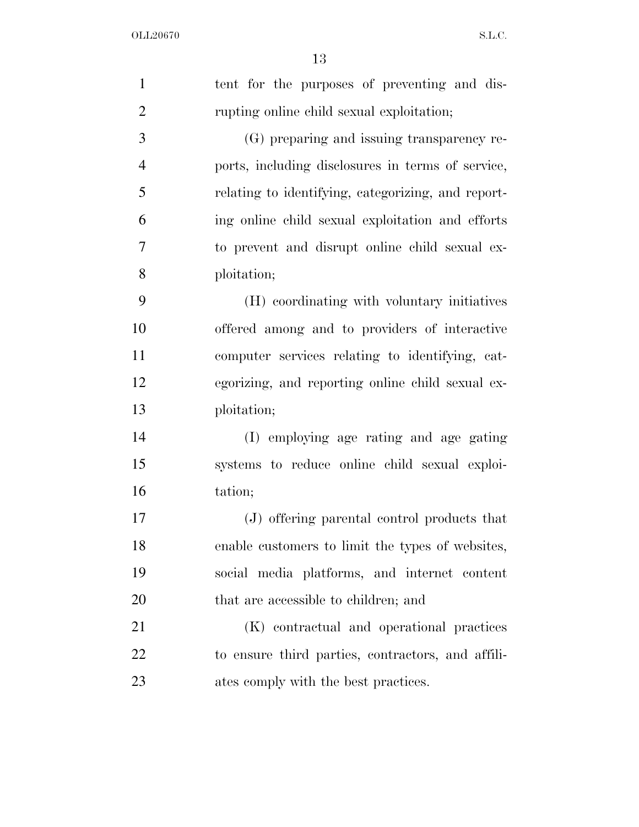| $\mathbf{1}$   | tent for the purposes of preventing and dis-       |
|----------------|----------------------------------------------------|
| $\overline{2}$ | rupting online child sexual exploitation;          |
| 3              | (G) preparing and issuing transparency re-         |
| $\overline{4}$ | ports, including disclosures in terms of service,  |
| 5              | relating to identifying, categorizing, and report- |
| 6              | ing online child sexual exploitation and efforts   |
| 7              | to prevent and disrupt online child sexual ex-     |
| 8              | ploitation;                                        |
| 9              | (H) coordinating with voluntary initiatives        |
| 10             | offered among and to providers of interactive      |
| 11             | computer services relating to identifying, cat-    |
| 12             | egorizing, and reporting online child sexual ex-   |
| 13             | ploitation;                                        |
| 14             | (I) employing age rating and age gating            |
| 15             | systems to reduce online child sexual exploi-      |
| 16             | tation;                                            |
| 17             | (J) offering parental control products that        |
| 18             | enable customers to limit the types of websites,   |
| 19             | social media platforms, and internet content       |
| 20             | that are accessible to children; and               |
| 21             | (K) contractual and operational practices          |
| 22             | to ensure third parties, contractors, and affili-  |
| 23             | ates comply with the best practices.               |
|                |                                                    |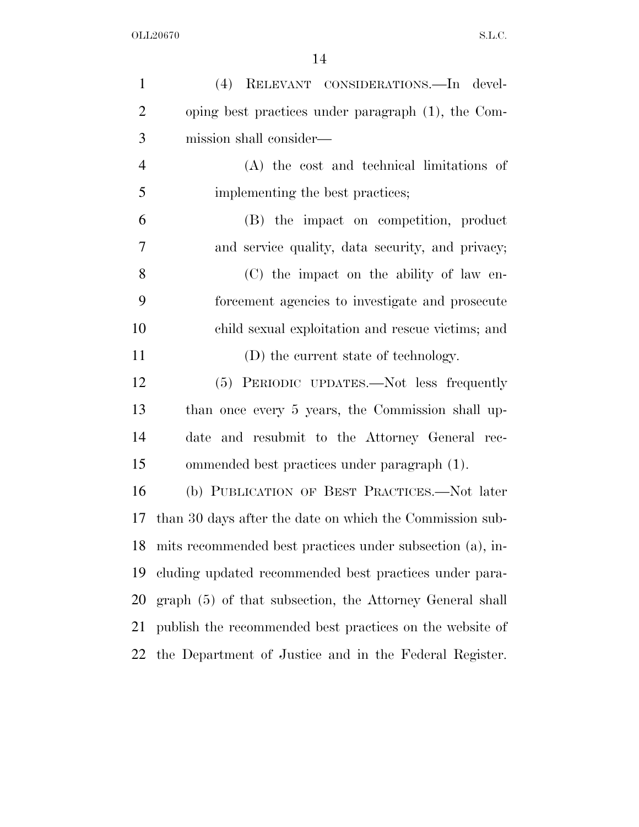| $\mathbf{1}$   | (4) RELEVANT CONSIDERATIONS. In devel-                    |
|----------------|-----------------------------------------------------------|
| $\overline{2}$ | oping best practices under paragraph (1), the Com-        |
| 3              | mission shall consider—                                   |
| $\overline{4}$ | (A) the cost and technical limitations of                 |
| 5              | implementing the best practices;                          |
| 6              | (B) the impact on competition, product                    |
| 7              | and service quality, data security, and privacy;          |
| 8              | (C) the impact on the ability of law en-                  |
| 9              | forcement agencies to investigate and prosecute           |
| 10             | child sexual exploitation and rescue victims; and         |
| 11             | (D) the current state of technology.                      |
| 12             | (5) PERIODIC UPDATES.—Not less frequently                 |
| 13             | than once every 5 years, the Commission shall up-         |
| 14             | and resubmit to the Attorney General rec-<br>date         |
| 15             | ommended best practices under paragraph (1).              |
| 16             | (b) PUBLICATION OF BEST PRACTICES.—Not later              |
| 17             | than 30 days after the date on which the Commission sub-  |
| 18             | mits recommended best practices under subsection (a), in- |
| 19             | cluding updated recommended best practices under para-    |
| 20             | graph (5) of that subsection, the Attorney General shall  |
| 21             | publish the recommended best practices on the website of  |
| 22             | the Department of Justice and in the Federal Register.    |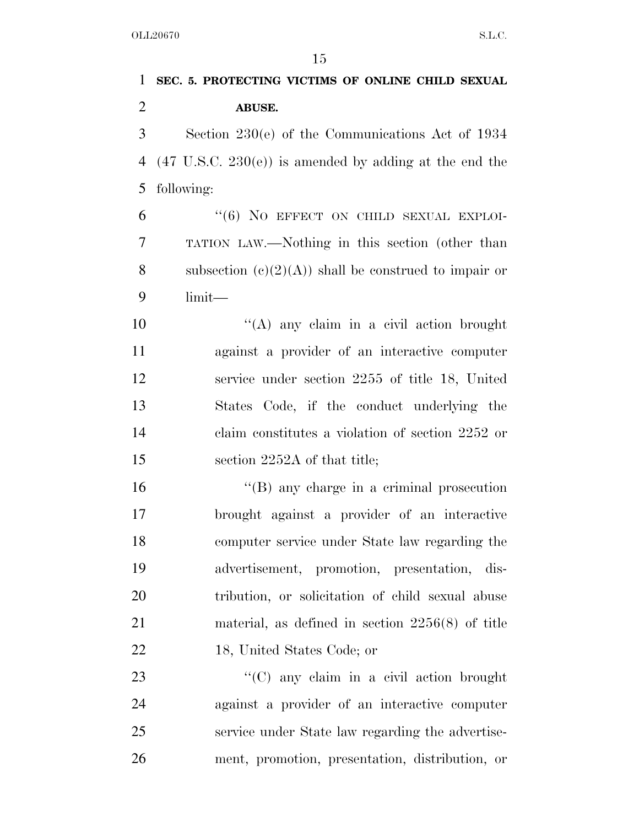**SEC. 5. PROTECTING VICTIMS OF ONLINE CHILD SEXUAL ABUSE.**  Section 230(e) of the Communications Act of 1934 (47 U.S.C. 230(e)) is amended by adding at the end the following: "(6) No EFFECT ON CHILD SEXUAL EXPLOI- TATION LAW.—Nothing in this section (other than 8 subsection  $(c)(2)(A)$  shall be construed to impair or limit— 10 "(A) any claim in a civil action brought against a provider of an interactive computer service under section 2255 of title 18, United States Code, if the conduct underlying the claim constitutes a violation of section 2252 or 15 section 2252A of that title; 16 "(B) any charge in a criminal prosecution brought against a provider of an interactive computer service under State law regarding the advertisement, promotion, presentation, dis- tribution, or solicitation of child sexual abuse material, as defined in section 2256(8) of title 18, United States Code; or 23 "'(C) any claim in a civil action brought against a provider of an interactive computer service under State law regarding the advertise-ment, promotion, presentation, distribution, or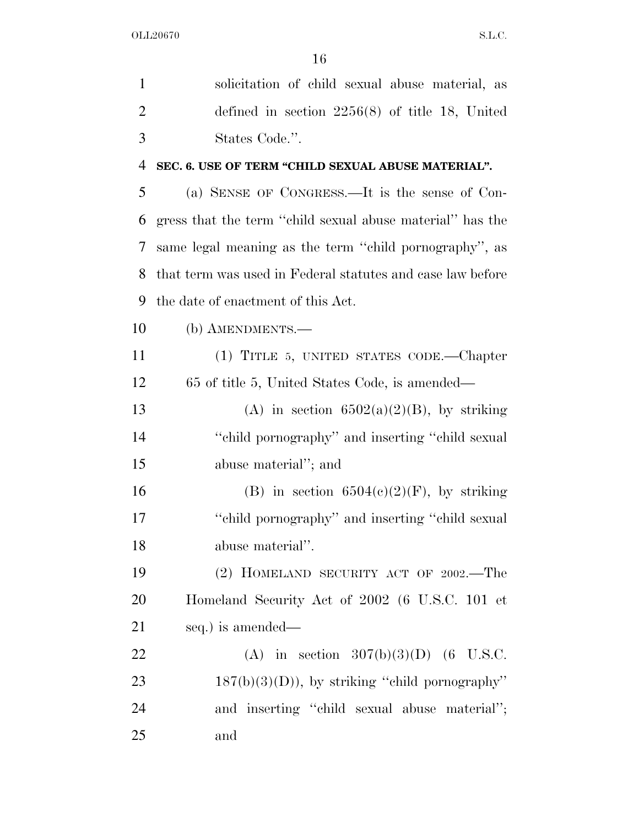| $\mathbf{1}$   | solicitation of child sexual abuse material, as            |
|----------------|------------------------------------------------------------|
| $\overline{2}$ | defined in section $2256(8)$ of title 18, United           |
| 3              | States Code.".                                             |
| 4              | SEC. 6. USE OF TERM "CHILD SEXUAL ABUSE MATERIAL".         |
| 5              | (a) SENSE OF CONGRESS.—It is the sense of Con-             |
| 6              | gress that the term "child sexual abuse material" has the  |
| 7              | same legal meaning as the term "child pornography", as     |
| 8              | that term was used in Federal statutes and case law before |
| 9              | the date of enactment of this Act.                         |
| 10             | (b) AMENDMENTS.—                                           |
| 11             | (1) TITLE 5, UNITED STATES CODE.—Chapter                   |
| 12             | 65 of title 5, United States Code, is amended—             |
| 13             | (A) in section $6502(a)(2)(B)$ , by striking               |
| 14             | "child pornography" and inserting "child sexual"           |
| 15             | abuse material"; and                                       |
| 16             | (B) in section $6504(c)(2)(F)$ , by striking               |
| 17             | "child pornography" and inserting "child sexual"           |
| 18             | abuse material".                                           |
| 19             | (2) HOMELAND SECURITY ACT OF 2002.-The                     |
| 20             | Homeland Security Act of 2002 (6 U.S.C. 101 et             |
| 21             | seq.) is amended—                                          |
| 22             | (A) in section $307(b)(3)(D)$ (6 U.S.C.                    |
| 23             | $187(b)(3)(D)$ , by striking "child pornography"           |
| 24             | and inserting "child sexual abuse material";               |
| 25             | and                                                        |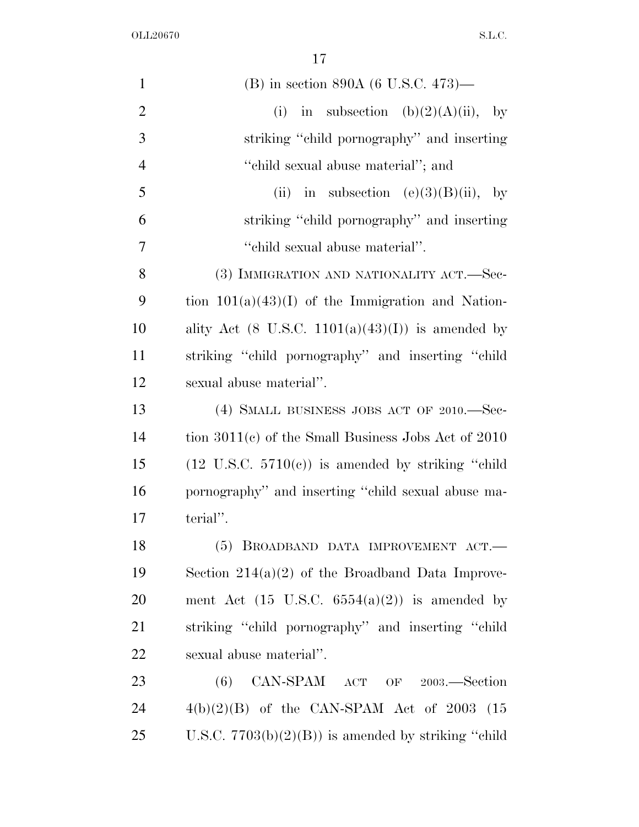| $\mathbf{1}$   | (B) in section 890A (6 U.S.C. 473)—                           |
|----------------|---------------------------------------------------------------|
| $\overline{2}$ | in subsection (b)(2)(A)(ii), by<br>(i)                        |
| 3              | striking "child pornography" and inserting                    |
| $\overline{4}$ | "child sexual abuse material"; and                            |
| 5              | in subsection $(e)(3)(B)(ii)$ , by<br>(ii)                    |
| 6              | striking "child pornography" and inserting                    |
| $\overline{7}$ | "child sexual abuse material".                                |
| 8              | (3) IMMIGRATION AND NATIONALITY ACT.—Sec-                     |
| 9              | tion $101(a)(43)(I)$ of the Immigration and Nation-           |
| 10             | ality Act $(8 \text{ U.S.C. } 1101(a)(43)(I))$ is amended by  |
| 11             | striking "child pornography" and inserting "child             |
| 12             | sexual abuse material".                                       |
| 13             | (4) SMALL BUSINESS JOBS ACT OF 2010.—Sec-                     |
| 14             | tion $3011(c)$ of the Small Business Jobs Act of 2010         |
| 15             | $(12 \text{ U.S.C. } 5710(e))$ is amended by striking "child" |
| 16             | pornography" and inserting "child sexual abuse ma-            |
| 17             | terial".                                                      |
| 18             | (5) BROADBAND DATA IMPROVEMENT ACT.-                          |
| 19             | Section $214(a)(2)$ of the Broadband Data Improve-            |
| 20             | ment Act $(15 \text{ U.S.C. } 6554(a)(2))$ is amended by      |
| 21             | striking "child pornography" and inserting "child"            |
| 22             | sexual abuse material".                                       |
| 23             | CAN-SPAM ACT OF 2003.—Section<br>(6)                          |
| 24             | $4(b)(2)(B)$ of the CAN-SPAM Act of 2003 (15                  |
| 25             | U.S.C. $7703(b)(2)(B)$ is amended by striking "child"         |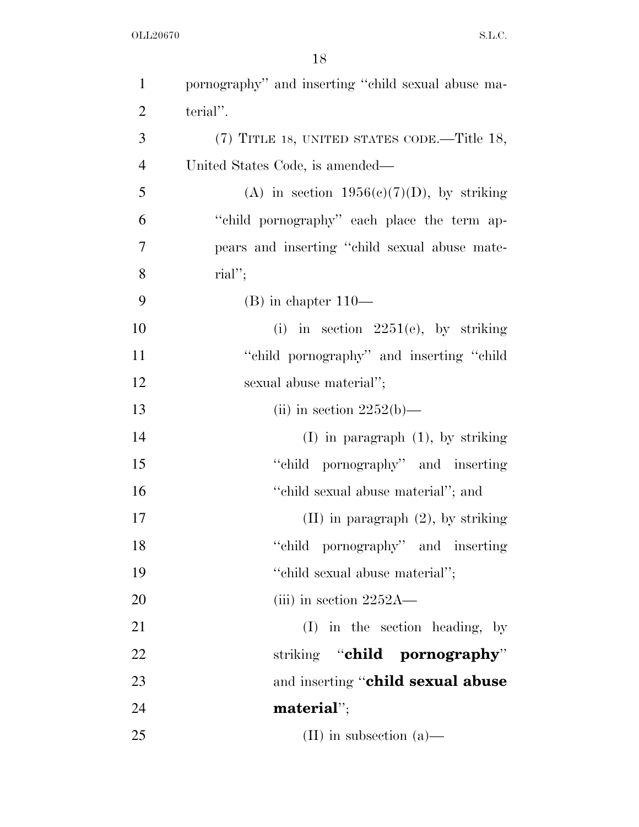| $\mathbf{1}$   | pornography" and inserting "child sexual abuse ma- |
|----------------|----------------------------------------------------|
| $\overline{2}$ | terial".                                           |
| 3              | (7) TITLE 18, UNITED STATES CODE.—Title 18,        |
| $\overline{4}$ | United States Code, is amended—                    |
| 5              | (A) in section $1956(e)(7)(D)$ , by striking       |
| 6              | "child pornography" each place the term ap-        |
| 7              | pears and inserting "child sexual abuse mate-      |
| 8              | $\text{rial}''$ ;                                  |
| 9              | $(B)$ in chapter $110-$                            |
| 10             | (i) in section $2251(e)$ , by striking             |
| 11             | "child pornography" and inserting "child"          |
| 12             | sexual abuse material";                            |
| 13             | (ii) in section $2252(b)$ —                        |
| 14             | $(I)$ in paragraph $(1)$ , by striking             |
| 15             | "child pornography" and inserting                  |
| 16             | "child sexual abuse material"; and                 |
| 17             | $(II)$ in paragraph $(2)$ , by striking            |
| 18             | "child pornography" and inserting                  |
| 19             | "child sexual abuse material";                     |
| 20             | (iii) in section $2252A$ —                         |
| 21             | $(I)$ in the section heading, by                   |
| 22             | striking "child pornography"                       |
| 23             | and inserting "child sexual abuse                  |
| 24             | material";                                         |
| 25             | (II) in subsection $(a)$ —                         |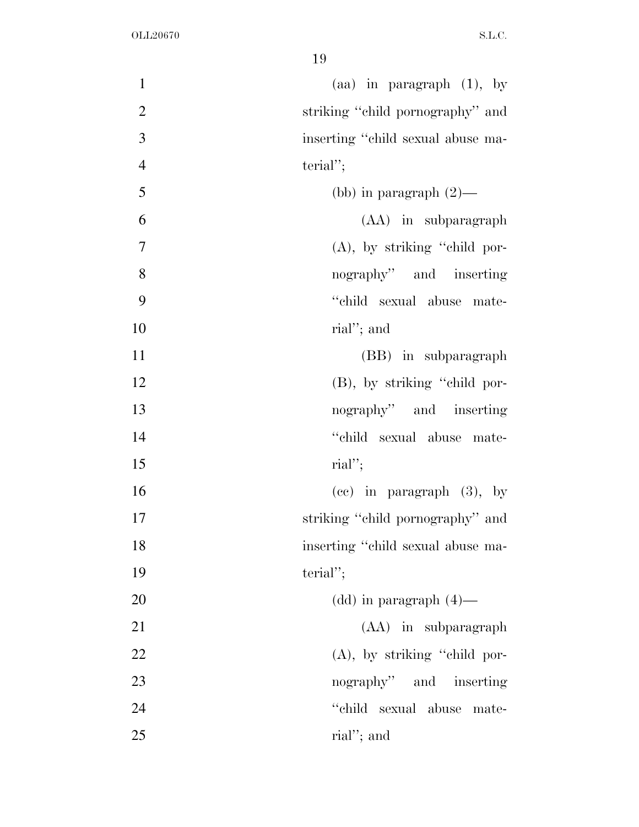| $\mathbf{1}$   | (aa) in paragraph $(1)$ , by      |
|----------------|-----------------------------------|
| $\overline{2}$ | striking "child pornography" and  |
| 3              | inserting "child sexual abuse ma- |
| $\overline{4}$ | $\text{terial}''$ ;               |
| 5              | (bb) in paragraph $(2)$ —         |
| 6              | (AA) in subparagraph              |
| 7              | $(A)$ , by striking "child por-   |
| 8              | nography" and inserting           |
| 9              | "child sexual abuse mate-         |
| 10             | rial"; and                        |
| 11             | (BB) in subparagraph              |
| 12             | $(B)$ , by striking "child por-   |
| 13             | nography" and inserting           |
| 14             | "child sexual abuse mate-         |
| 15             | $\text{rial}''$ ;                 |
| 16             | $(ec)$ in paragraph $(3)$ , by    |
| 17             | striking "child pornography" and  |
| 18             | inserting "child sexual abuse ma- |
| 19             | $\text{terial}''$ ;               |
| 20             | $(dd)$ in paragraph $(4)$ —       |
| 21             | (AA) in subparagraph              |
| 22             | (A), by striking "child por-      |
| 23             | nography" and inserting           |
| 24             | "child sexual abuse mate-         |
| 25             | rial"; and                        |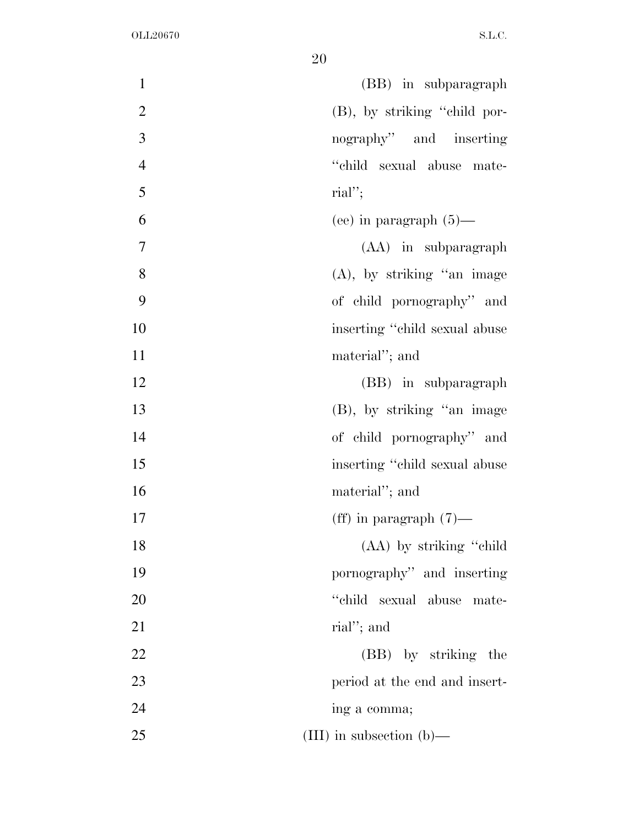| $\mathbf{1}$   | (BB) in subparagraph           |
|----------------|--------------------------------|
| $\overline{2}$ | (B), by striking "child por-   |
| 3              | nography" and inserting        |
| $\overline{4}$ | "child sexual abuse mate-      |
| 5              | $\text{rial}''$ ;              |
| 6              | (ee) in paragraph $(5)$ —      |
| $\overline{7}$ | (AA) in subparagraph           |
| 8              | $(A)$ , by striking "an image  |
| 9              | of child pornography" and      |
| 10             | inserting "child sexual abuse" |
| 11             | material"; and                 |
| 12             | (BB) in subparagraph           |
| 13             | (B), by striking "an image     |
| 14             | of child pornography" and      |
| 15             | inserting "child sexual abuse" |
| 16             | material"; and                 |
| 17             | (ff) in paragraph $(7)$ —      |
| 18             | (AA) by striking "child"       |
| 19             | pornography" and inserting     |
| 20             | "child<br>sexual abuse mate-   |
| 21             | rial"; and                     |
| 22             | (BB) by striking the           |
| 23             | period at the end and insert-  |
| 24             | ing a comma;                   |
| 25             | (III) in subsection (b)—       |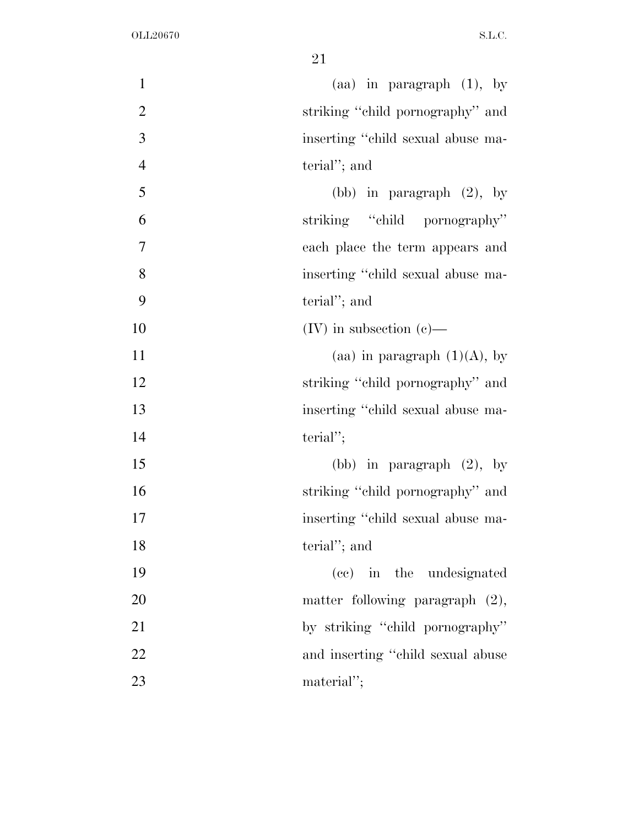| $\mathbf{1}$   | (aa) in paragraph $(1)$ , by       |
|----------------|------------------------------------|
| $\overline{2}$ | striking "child pornography" and   |
| 3              | inserting "child sexual abuse ma-  |
| $\overline{4}$ | terial"; and                       |
| 5              | (bb) in paragraph $(2)$ , by       |
| 6              | striking "child pornography"       |
| 7              | each place the term appears and    |
| 8              | inserting "child sexual abuse ma-  |
| 9              | terial"; and                       |
| 10             | $(IV)$ in subsection $(e)$ —       |
| 11             | (aa) in paragraph $(1)(A)$ , by    |
| 12             | striking "child pornography" and   |
| 13             | inserting "child sexual abuse ma-  |
| 14             | $\text{terial}''$ ;                |
| 15             | (bb) in paragraph $(2)$ , by       |
| 16             | striking "child pornography" and   |
| 17             | inserting "child sexual abuse ma-  |
| 18             | terial"; and                       |
| 19             | (cc) in the undesignated           |
| 20             | matter following paragraph $(2)$ , |
| 21             | by striking "child pornography"    |
| 22             | and inserting "child sexual abuse  |
| 23             | material";                         |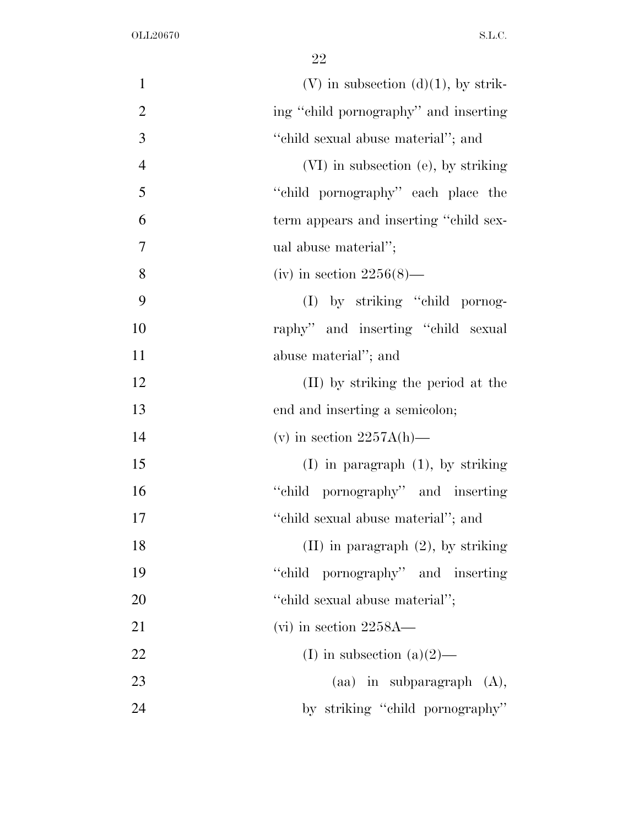| $\mathbf{1}$   | $(V)$ in subsection $(d)(1)$ , by strik- |
|----------------|------------------------------------------|
| $\overline{2}$ | ing "child pornography" and inserting    |
| 3              | "child sexual abuse material"; and       |
| $\overline{4}$ | (VI) in subsection (e), by striking      |
| 5              | "child pornography" each place the       |
| 6              | term appears and inserting "child sex-   |
| 7              | ual abuse material";                     |
| 8              | (iv) in section $2256(8)$ —              |
| 9              | (I) by striking "child pornog-           |
| 10             | raphy" and inserting "child sexual       |
| 11             | abuse material"; and                     |
| 12             | (II) by striking the period at the       |
| 13             | end and inserting a semicolon;           |
| 14             | (v) in section $2257A(h)$ —              |
| 15             | $(I)$ in paragraph $(1)$ , by striking   |
| 16             | "child pornography" and inserting        |
| 17             | "child sexual abuse material"; and       |
| 18             | $(II)$ in paragraph $(2)$ , by striking  |
| 19             | "child pornography" and inserting        |
| 20             | "child sexual abuse material";           |
| 21             | $(vi)$ in section 2258A—                 |
| 22             | (I) in subsection (a) $(2)$ —            |
| 23             | $(aa)$ in subparagraph $(A)$ ,           |
| 24             | by striking "child pornography"          |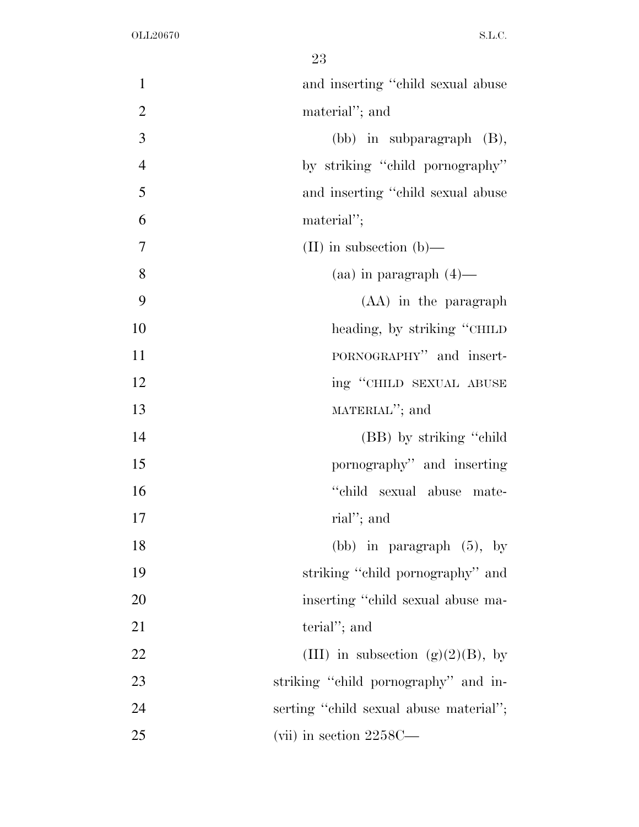| $\mathbf{1}$   | and inserting "child sexual abuse"     |
|----------------|----------------------------------------|
| $\overline{2}$ | material"; and                         |
| 3              | $(bb)$ in subparagraph $(B)$ ,         |
| $\overline{4}$ | by striking "child pornography"        |
| 5              | and inserting "child sexual abuse      |
| 6              | material";                             |
| 7              | (II) in subsection (b)—                |
| 8              | $(aa)$ in paragraph $(4)$ —            |
| 9              | (AA) in the paragraph                  |
| 10             | heading, by striking "CHILD"           |
| 11             | PORNOGRAPHY" and insert-               |
| 12             | ing "CHILD SEXUAL ABUSE                |
| 13             | MATERIAL"; and                         |
| 14             | (BB) by striking "child"               |
| 15             | pornography" and inserting             |
| 16             | "child sexual abuse mate-              |
| 17             | rial"; and                             |
| 18             | (bb) in paragraph $(5)$ , by           |
| 19             | striking "child pornography" and       |
| 20             | inserting "child sexual abuse ma-      |
| 21             | terial"; and                           |
| 22             | (III) in subsection (g)(2)(B), by      |
| 23             | striking "child pornography" and in-   |
| 24             | serting "child sexual abuse material"; |
| 25             | (vii) in section $2258C$ —             |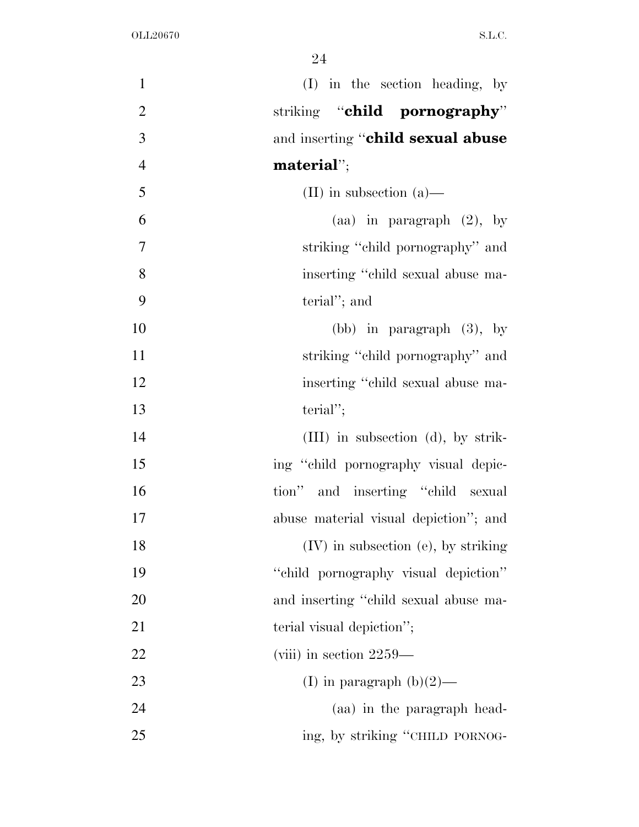| $\mathbf{1}$     | (I) in the section heading, by           |
|------------------|------------------------------------------|
| $\overline{2}$   | striking "child pornography"             |
| $\mathfrak{Z}$   | and inserting "child sexual abuse        |
| $\overline{4}$   | material";                               |
| 5                | (II) in subsection $(a)$ —               |
| 6                | (aa) in paragraph $(2)$ , by             |
| $\boldsymbol{7}$ | striking "child pornography" and         |
| 8                | inserting "child sexual abuse ma-        |
| 9                | terial"; and                             |
| 10               | (bb) in paragraph $(3)$ , by             |
| 11               | striking "child pornography" and         |
| 12               | inserting "child sexual abuse ma-        |
| 13               | $\text{terial}''$ ;                      |
| 14               | $(III)$ in subsection (d), by strik-     |
| 15               | ing "child pornography visual depic-     |
| 16               | tion" and inserting "child sexual        |
| $17\,$           | abuse material visual depiction"; and    |
| 18               | $(IV)$ in subsection $(e)$ , by striking |
| 19               | "child pornography visual depiction"     |
| 20               | and inserting "child sexual abuse ma-    |
| 21               | terial visual depiction";                |
| 22               | (viii) in section $2259-$                |
| 23               | (I) in paragraph $(b)(2)$ —              |
| 24               | (aa) in the paragraph head-              |
| 25               | ing, by striking "CHILD PORNOG-          |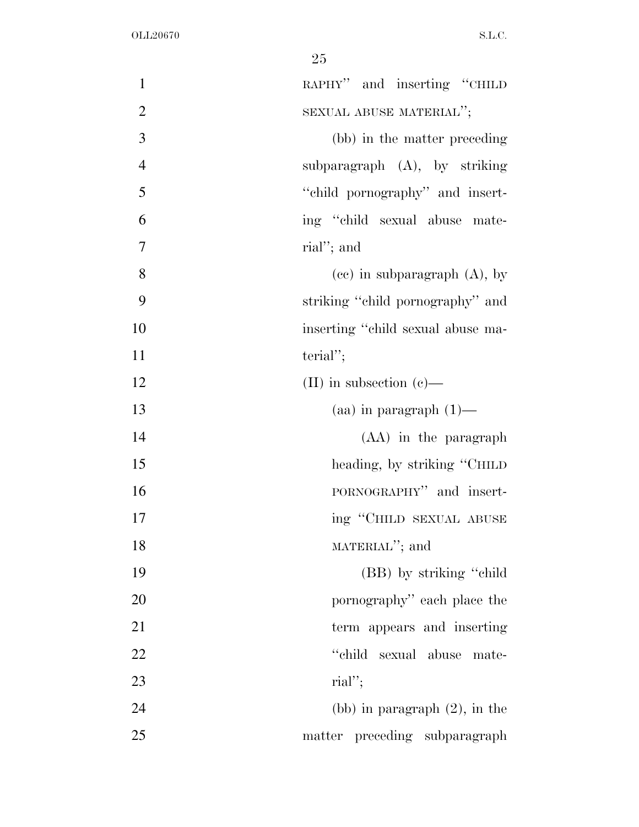| $\mathbf{1}$   | RAPHY" and inserting "CHILD       |
|----------------|-----------------------------------|
| $\overline{2}$ | SEXUAL ABUSE MATERIAL";           |
| 3              | (bb) in the matter preceding      |
| $\overline{4}$ | subparagraph $(A)$ , by striking  |
| 5              | "child pornography" and insert-   |
| 6              | ing "child sexual abuse mate-     |
| $\overline{7}$ | rial"; and                        |
| 8              | $(ce)$ in subparagraph $(A)$ , by |
| 9              | striking "child pornography" and  |
| 10             | inserting "child sexual abuse ma- |
| 11             | $\text{terial}''$ ;               |
| 12             | (II) in subsection $(e)$ —        |
| 13             | $(aa)$ in paragraph $(1)$ —       |
| 14             | (AA) in the paragraph             |
| 15             | heading, by striking "CHILD"      |
| 16             | PORNOGRAPHY" and insert-          |
| 17             | ing "CHILD SEXUAL ABUSE           |
| 18             | MATERIAL"; and                    |
| 19             | (BB) by striking "child"          |
| 20             | pornography" each place the       |
| 21             | term appears and inserting        |
| 22             | "child"<br>sexual abuse mate-     |
| 23             | $\text{rial}''$ ;                 |
| 24             | (bb) in paragraph $(2)$ , in the  |
| 25             | matter preceding subparagraph     |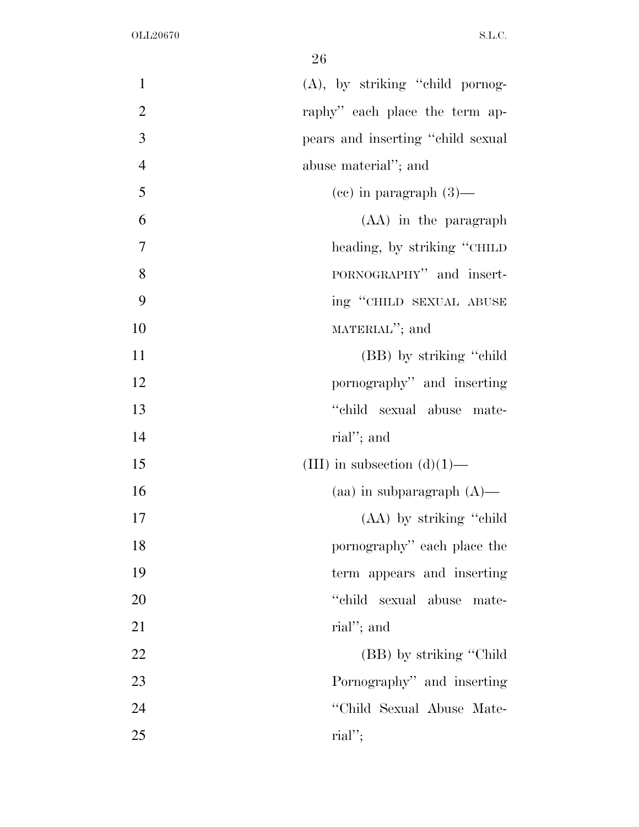| $\mathbf{1}$   | (A), by striking "child pornog-   |
|----------------|-----------------------------------|
| $\overline{2}$ | raphy" each place the term ap-    |
| 3              | pears and inserting "child sexual |
| $\overline{4}$ | abuse material"; and              |
| 5              | $(ce)$ in paragraph $(3)$ —       |
| 6              | (AA) in the paragraph             |
| 7              | heading, by striking "CHILD"      |
| 8              | PORNOGRAPHY" and insert-          |
| 9              | ing "CHILD SEXUAL ABUSE           |
| 10             | MATERIAL"; and                    |
| 11             | (BB) by striking "child"          |
| 12             | pornography" and inserting        |
| 13             | "child sexual abuse mate-         |
| 14             | rial"; and                        |
| 15             | (III) in subsection $(d)(1)$ —    |
| 16             | (aa) in subparagraph $(A)$ —      |
| 17             | (AA) by striking "child"          |
| 18             | pornography" each place the       |
| 19             | term appears and inserting        |
| 20             | "child sexual abuse mate-         |
| 21             | rial"; and                        |
| 22             | (BB) by striking "Child"          |
| 23             | Pornography" and inserting        |
| 24             | "Child Sexual Abuse Mate-         |
| 25             | $\text{rial}''$ ;                 |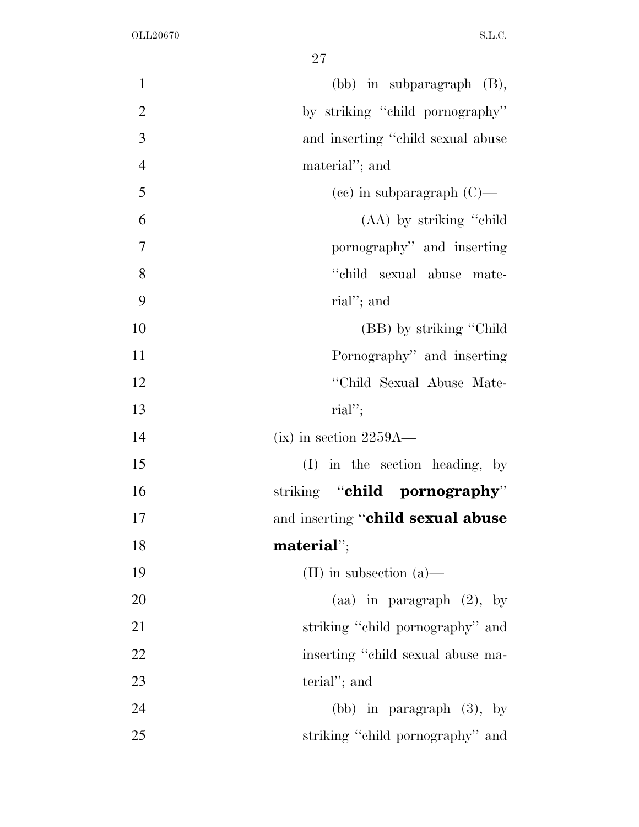| $\mathbf{1}$   | $(bb)$ in subparagraph $(B)$ ,     |
|----------------|------------------------------------|
| $\mathbf{2}$   | by striking "child pornography"    |
| 3              | and inserting "child sexual abuse" |
| $\overline{4}$ | material"; and                     |
| 5              | $(ce)$ in subparagraph $(C)$ —     |
| 6              | (AA) by striking "child"           |
| 7              | pornography" and inserting         |
| 8              | "child sexual abuse mate-          |
| 9              | rial"; and                         |
| 10             | (BB) by striking "Child"           |
| 11             | Pornography" and inserting         |
| 12             | "Child Sexual Abuse Mate-          |
| 13             | $\text{rial}''$ ;                  |
| 14             | $(ix)$ in section 2259A—           |
| 15             | $(I)$ in the section heading, by   |
| 16             | striking "child pornography"       |
| 17             | and inserting "child sexual abuse  |
| 18             | material";                         |
| 19             | (II) in subsection $(a)$ —         |
| 20             | (aa) in paragraph $(2)$ , by       |
| 21             | striking "child pornography" and   |
| 22             | inserting "child sexual abuse ma-  |
| 23             | terial"; and                       |
| 24             | (bb) in paragraph $(3)$ , by       |
| 25             | striking "child pornography" and   |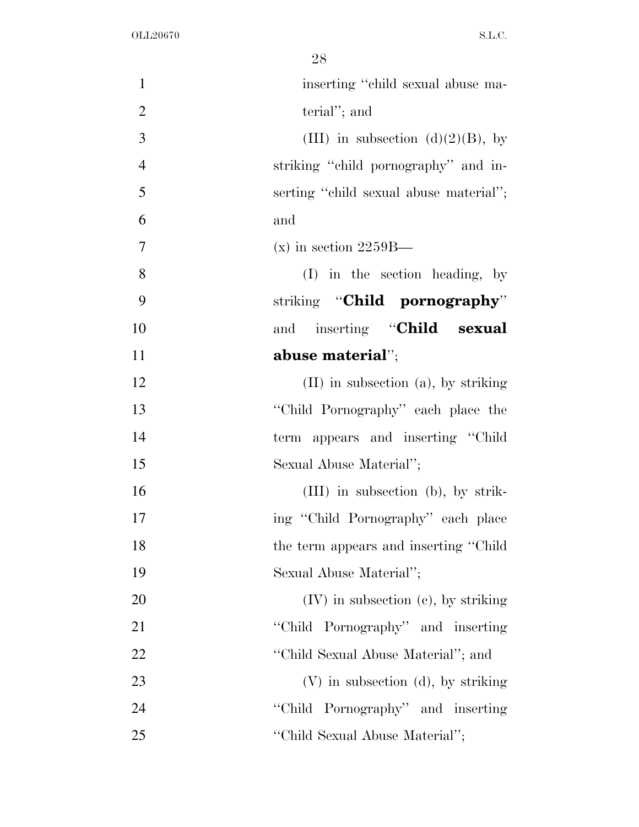| $\mathbf{1}$   | inserting "child sexual abuse ma-        |
|----------------|------------------------------------------|
| $\overline{2}$ | terial"; and                             |
| 3              | (III) in subsection (d)(2)(B), by        |
| $\overline{4}$ | striking "child pornography" and in-     |
| 5              | serting "child sexual abuse material";   |
| 6              | and                                      |
| 7              | $(x)$ in section 2259B—                  |
| 8              | $(I)$ in the section heading, by         |
| 9              | striking "Child pornography"             |
| 10             | inserting "Child sexual<br>and           |
| 11             | abuse material";                         |
| 12             | $(II)$ in subsection $(a)$ , by striking |
| 13             | "Child Pornography" each place the       |
| 14             | term appears and inserting "Child"       |
| 15             | Sexual Abuse Material";                  |
| 16             | $(III)$ in subsection (b), by strik-     |
| 17             | ing "Child Pornography" each place       |
| 18             | the term appears and inserting "Child"   |
| 19             | Sexual Abuse Material";                  |
| 20             | $(IV)$ in subsection $(e)$ , by striking |
| 21             | "Child Pornography" and inserting        |
| 22             | "Child Sexual Abuse Material"; and       |
| 23             | $(V)$ in subsection (d), by striking     |
| 24             | "Child Pornography" and inserting        |
| 25             | "Child Sexual Abuse Material";           |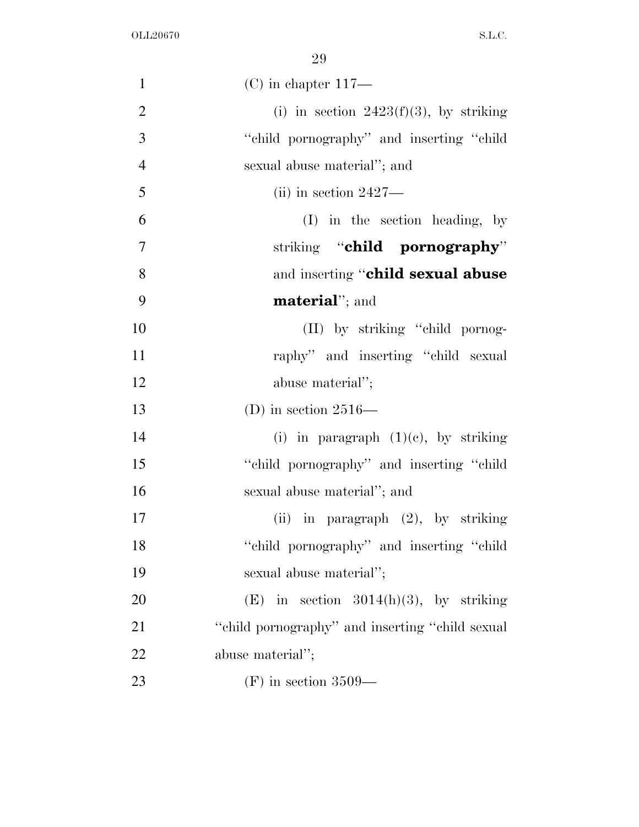| $\mathbf{1}$   | $(C)$ in chapter 117—                            |
|----------------|--------------------------------------------------|
| $\overline{2}$ | (i) in section $2423(f)(3)$ , by striking        |
| 3              | "child pornography" and inserting "child"        |
| $\overline{4}$ | sexual abuse material"; and                      |
| 5              | $(iii)$ in section 2427—                         |
| 6              | $(I)$ in the section heading, by                 |
| 7              | striking "child pornography"                     |
| 8              | and inserting "child sexual abuse                |
| 9              | <b>material</b> "; and                           |
| 10             | (II) by striking "child pornog-                  |
| 11             | raphy" and inserting "child sexual               |
| 12             | abuse material";                                 |
| 13             | (D) in section $2516-$                           |
| 14             | (i) in paragraph $(1)(e)$ , by striking          |
| 15             | "child pornography" and inserting "child"        |
| 16             | sexual abuse material"; and                      |
| 17             | (ii) in paragraph $(2)$ , by striking            |
| 18             | "child pornography" and inserting "child         |
| 19             | sexual abuse material";                          |
| 20             | (E) in section $3014(h)(3)$ , by striking        |
| 21             | "child pornography" and inserting "child sexual" |
| 22             | abuse material";                                 |
| 23             | $(F)$ in section 3509—                           |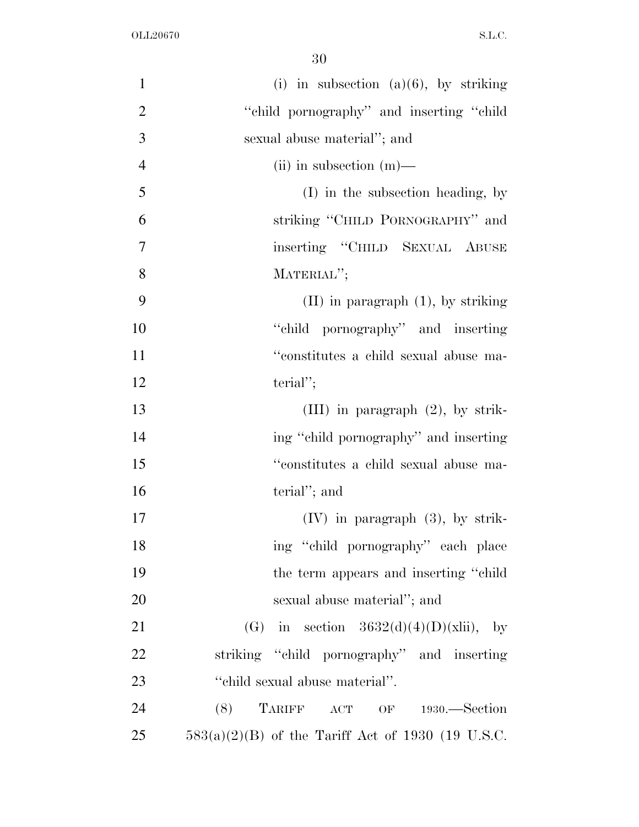| $\mathbf{1}$   | (i) in subsection $(a)(6)$ , by striking            |
|----------------|-----------------------------------------------------|
| $\overline{2}$ | "child pornography" and inserting "child            |
| 3              | sexual abuse material"; and                         |
| $\overline{4}$ | (ii) in subsection $(m)$ —                          |
| 5              | $(I)$ in the subsection heading, by                 |
| 6              | striking "CHILD PORNOGRAPHY" and                    |
| 7              | inserting "CHILD SEXUAL ABUSE                       |
| 8              | MATERIAL";                                          |
| 9              | $(II)$ in paragraph $(1)$ , by striking             |
| 10             | "child pornography" and inserting                   |
| 11             | "constitutes a child sexual abuse ma-               |
| 12             | $\text{terial}''$ ;                                 |
| 13             | $(III)$ in paragraph $(2)$ , by strik-              |
| 14             | ing "child pornography" and inserting               |
| 15             | "constitutes a child sexual abuse ma-               |
| 16             | terial"; and                                        |
| 17             | $(IV)$ in paragraph $(3)$ , by strik-               |
| 18             | ing "child pornography" each place                  |
| 19             | the term appears and inserting "child"              |
| 20             | sexual abuse material"; and                         |
| 21             | (G) in section $3632(d)(4)(D)(xlii)$ , by           |
| 22             | striking "child pornography" and inserting          |
| 23             | "child sexual abuse material".                      |
| 24             | $(8)$ TARIFF ACT OF 1930.—Section                   |
| 25             | $583(a)(2)(B)$ of the Tariff Act of 1930 (19 U.S.C. |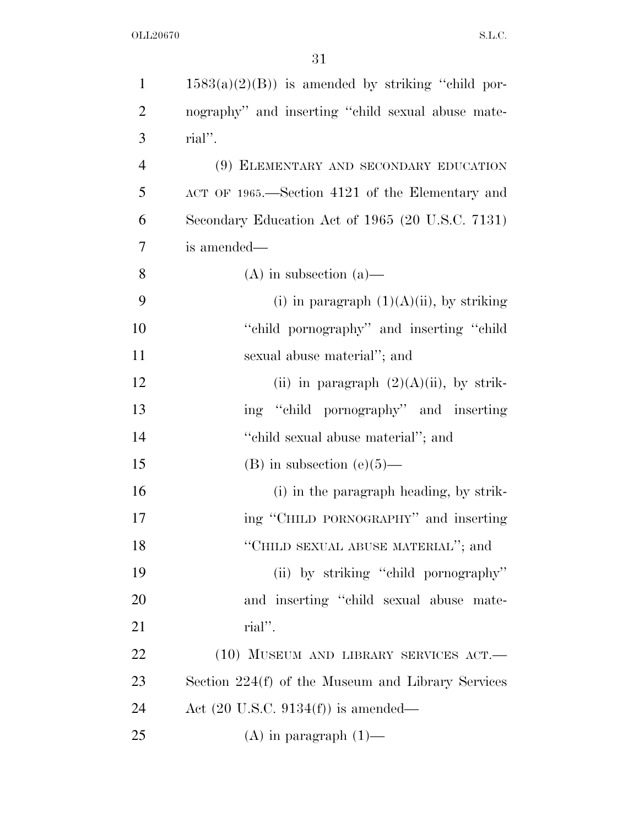| $\mathbf{1}$   | $1583(a)(2)(B)$ is amended by striking "child por- |
|----------------|----------------------------------------------------|
| $\overline{2}$ | nography" and inserting "child sexual abuse mate-  |
| 3              | rial".                                             |
| $\overline{4}$ | (9) ELEMENTARY AND SECONDARY EDUCATION             |
| 5              | ACT OF 1965.—Section 4121 of the Elementary and    |
| 6              | Secondary Education Act of 1965 (20 U.S.C. 7131)   |
| 7              | is amended—                                        |
| 8              | $(A)$ in subsection $(a)$ —                        |
| 9              | (i) in paragraph $(1)(A)(ii)$ , by striking        |
| 10             | "child pornography" and inserting "child"          |
| 11             | sexual abuse material"; and                        |
| 12             | (ii) in paragraph $(2)(A)(ii)$ , by strik-         |
| 13             | ing "child pornography" and inserting              |
| 14             | "child sexual abuse material"; and                 |
| 15             | $(B)$ in subsection $(e)(5)$ —                     |
| 16             | (i) in the paragraph heading, by strik-            |
| 17             | ing "CHILD PORNOGRAPHY" and inserting              |
| 18             | "CHILD SEXUAL ABUSE MATERIAL"; and                 |
| 19             | (ii) by striking "child pornography"               |
| 20             | and inserting "child sexual abuse mate-            |
| 21             | rial".                                             |
| 22             | $(10)$ MUSEUM AND LIBRARY SERVICES ACT.            |
| 23             | Section 224(f) of the Museum and Library Services  |
| 24             | Act $(20 \text{ U.S.C. } 9134(f))$ is amended—     |
| 25             | $(A)$ in paragraph $(1)$ —                         |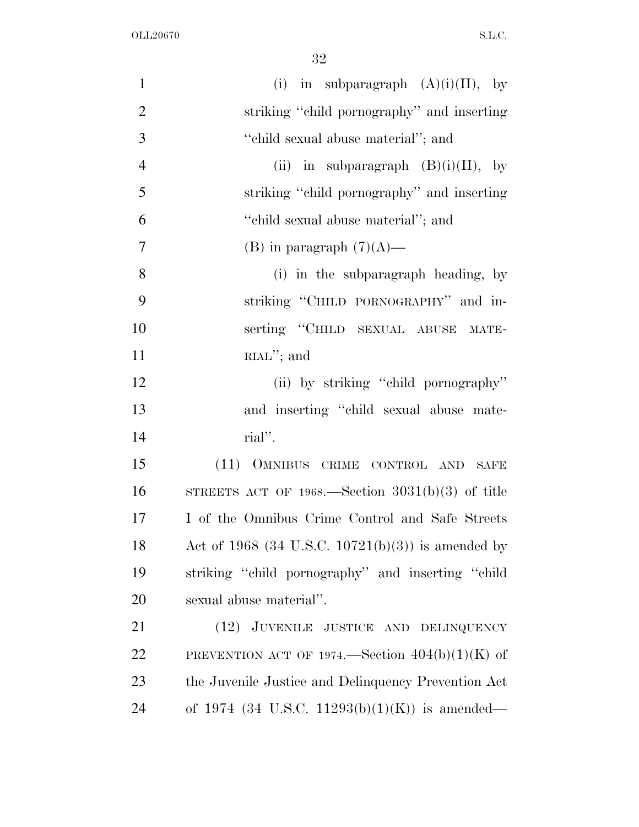| $\mathbf{1}$   | (i) in subparagraph $(A)(i)(II)$ , by               |
|----------------|-----------------------------------------------------|
| $\overline{2}$ | striking "child pornography" and inserting          |
| 3              | "child sexual abuse material"; and                  |
| $\overline{4}$ | (ii) in subparagraph $(B)(i)(II)$ , by              |
| 5              | striking "child pornography" and inserting          |
| 6              | "child sexual abuse material"; and                  |
| $\overline{7}$ | (B) in paragraph $(7)(A)$ —                         |
| 8              | (i) in the subparagraph heading, by                 |
| 9              | striking "CHILD PORNOGRAPHY" and in-                |
| 10             | serting "CHILD SEXUAL ABUSE MATE-                   |
| 11             | $RLM$ "; and                                        |
| 12             | (ii) by striking "child pornography"                |
| 13             | and inserting "child sexual abuse mate-             |
| 14             | rial".                                              |
| 15             | (11) OMNIBUS CRIME CONTROL AND SAFE                 |
| 16             | STREETS ACT OF 1968.—Section $3031(b)(3)$ of title  |
| 17             | I of the Omnibus Crime Control and Safe Streets     |
| 18             | Act of 1968 (34 U.S.C. 10721(b)(3)) is amended by   |
| 19             | striking "child pornography" and inserting "child   |
| 20             | sexual abuse material".                             |
| 21             | (12) JUVENILE JUSTICE AND DELINQUENCY               |
| 22             | PREVENTION ACT OF 1974.—Section $404(b)(1)(K)$ of   |
| 23             | the Juvenile Justice and Delinquency Prevention Act |
| 24             | of 1974 (34 U.S.C. 11293(b)(1)(K)) is amended—      |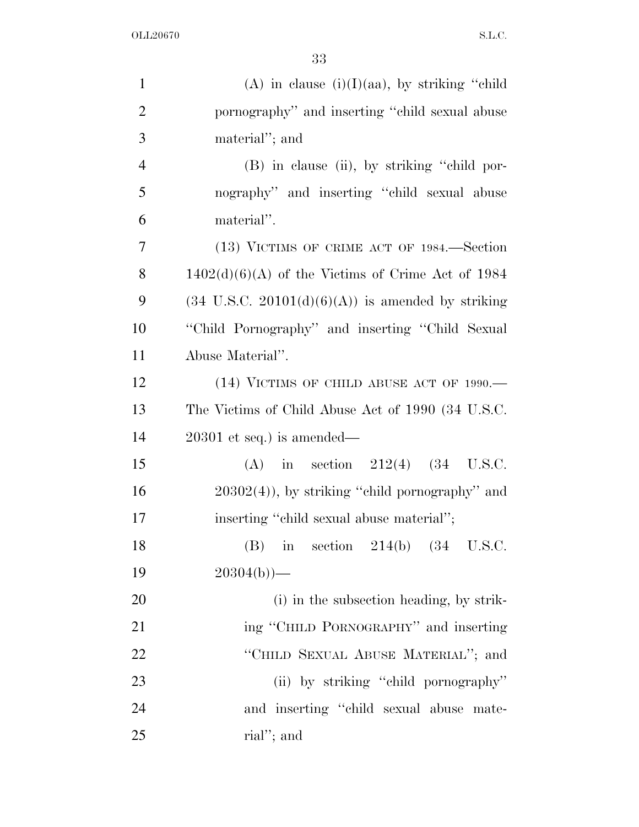| $\mathbf{1}$   | (A) in clause $(i)(I)(aa)$ , by striking "child"             |
|----------------|--------------------------------------------------------------|
| $\overline{2}$ | pornography" and inserting "child sexual abuse               |
| 3              | material"; and                                               |
| $\overline{4}$ | (B) in clause (ii), by striking "child por-                  |
| 5              | nography" and inserting "child sexual abuse                  |
| 6              | material".                                                   |
| 7              | (13) VICTIMS OF CRIME ACT OF 1984.—Section                   |
| 8              | $1402(d)(6)(A)$ of the Victims of Crime Act of 1984          |
| 9              | $(34 \text{ U.S.C. } 20101(d)(6)(A))$ is amended by striking |
| 10             | "Child Pornography" and inserting "Child Sexual              |
| 11             | Abuse Material".                                             |
| 12             | (14) VICTIMS OF CHILD ABUSE ACT OF 1990.-                    |
| 13             | The Victims of Child Abuse Act of 1990 (34 U.S.C.            |
| 14             | $20301$ et seq.) is amended—                                 |
| 15             | (A) in section $212(4)$ (34 U.S.C.                           |
| 16             | $20302(4)$ , by striking "child pornography" and             |
| 17             | inserting "child sexual abuse material";                     |
| 18             | in section $214(b)$ $(34 \text{ U.S.C.})$<br>(B)             |
| 19             | $20304(b)$ )—                                                |
| 20             | (i) in the subsection heading, by strik-                     |
| 21             | ing "CHILD PORNOGRAPHY" and inserting                        |
| 22             | "CHILD SEXUAL ABUSE MATERIAL"; and                           |
| 23             | (ii) by striking "child pornography"                         |
| 24             | and inserting "child sexual abuse mate-                      |
| 25             | rial"; and                                                   |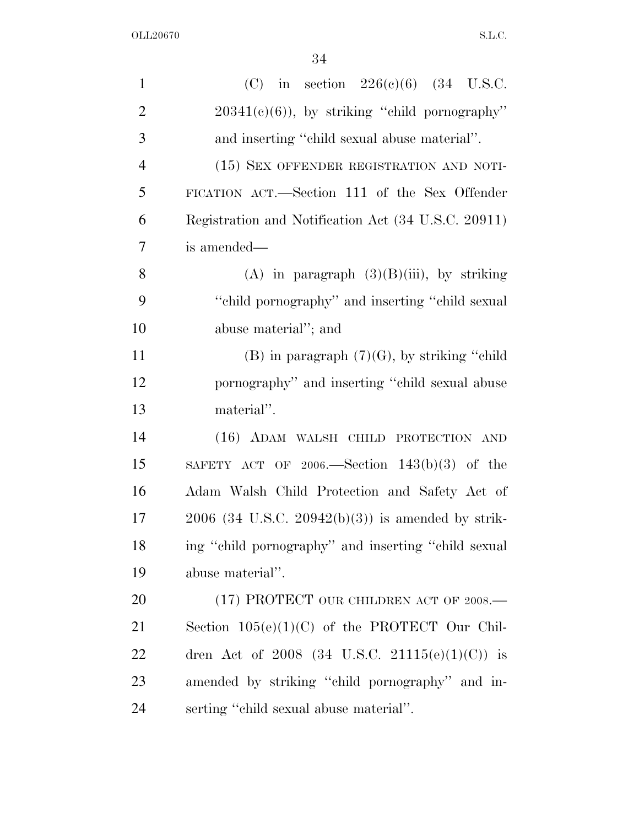| $\mathbf{1}$   | (C) in section $226(c)(6)$ (34 U.S.C.                  |
|----------------|--------------------------------------------------------|
| $\overline{2}$ | $20341(e)(6)$ , by striking "child pornography"        |
| 3              | and inserting "child sexual abuse material".           |
| $\overline{4}$ | (15) SEX OFFENDER REGISTRATION AND NOTI-               |
| 5              | FICATION ACT.—Section 111 of the Sex Offender          |
| 6              | Registration and Notification Act (34 U.S.C. 20911)    |
| 7              | is amended—                                            |
| 8              | (A) in paragraph $(3)(B)(iii)$ , by striking           |
| 9              | "child pornography" and inserting "child sexual"       |
| 10             | abuse material"; and                                   |
| 11             | (B) in paragraph $(7)(G)$ , by striking "child"        |
| 12             | pornography" and inserting "child sexual abuse         |
| 13             | material".                                             |
| 14             | (16) ADAM WALSH CHILD PROTECTION AND                   |
| 15             | SAFETY ACT OF 2006.—Section $143(b)(3)$ of the         |
| 16             | Adam Walsh Child Protection and Safety Act of          |
| 17             | $2006$ (34 U.S.C. $20942(b)(3)$ ) is amended by strik- |
| 18             | ing "child pornography" and inserting "child sexual    |
| 19             | abuse material".                                       |
| 20             | (17) PROTECT OUR CHILDREN ACT OF 2008.—                |
| 21             | Section $105(e)(1)(C)$ of the PROTECT Our Chil-        |
| 22             | dren Act of 2008 (34 U.S.C. 21115(e)(1)(C)) is         |
| 23             | amended by striking "child pornography" and in-        |
| 24             | serting "child sexual abuse material".                 |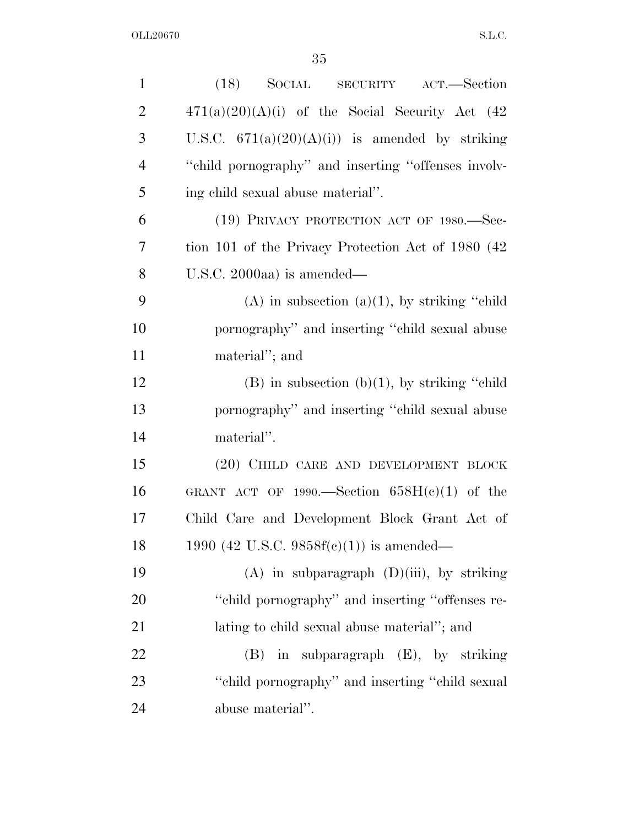| $\mathbf{1}$   | (18)<br>SOCIAL SECURITY ACT.—Section                |
|----------------|-----------------------------------------------------|
| $\overline{2}$ | $471(a)(20)(A)(i)$ of the Social Security Act (42)  |
| 3              | U.S.C. $671(a)(20)(A)(i)$ is amended by striking    |
| $\overline{4}$ | "child pornography" and inserting "offenses involv- |
| 5              | ing child sexual abuse material".                   |
| 6              | (19) PRIVACY PROTECTION ACT OF 1980.—Sec-           |
| 7              | tion 101 of the Privacy Protection Act of 1980 (42) |
| 8              | U.S.C. 2000aa) is amended—                          |
| 9              | $(A)$ in subsection $(a)(1)$ , by striking "child"  |
| 10             | pornography" and inserting "child sexual abuse      |
| 11             | material"; and                                      |
| 12             | $(B)$ in subsection $(b)(1)$ , by striking "child"  |
| 13             | pornography" and inserting "child sexual abuse      |
| 14             | material".                                          |
| 15             | (20) CHILD CARE AND DEVELOPMENT BLOCK               |
| 16             | GRANT ACT OF 1990.—Section $658H(e)(1)$ of the      |
| 17             | Child Care and Development Block Grant Act of       |
| 18             | 1990 (42 U.S.C. 9858 $f(c)(1)$ ) is amended—        |
| 19             | $(A)$ in subparagraph $(D)(iii)$ , by striking      |
| 20             | "child pornography" and inserting "offenses re-     |
| 21             | lating to child sexual abuse material"; and         |
| 22             | in subparagraph (E), by striking<br>(B)             |
| 23             | "child pornography" and inserting "child sexual     |
| 24             | abuse material".                                    |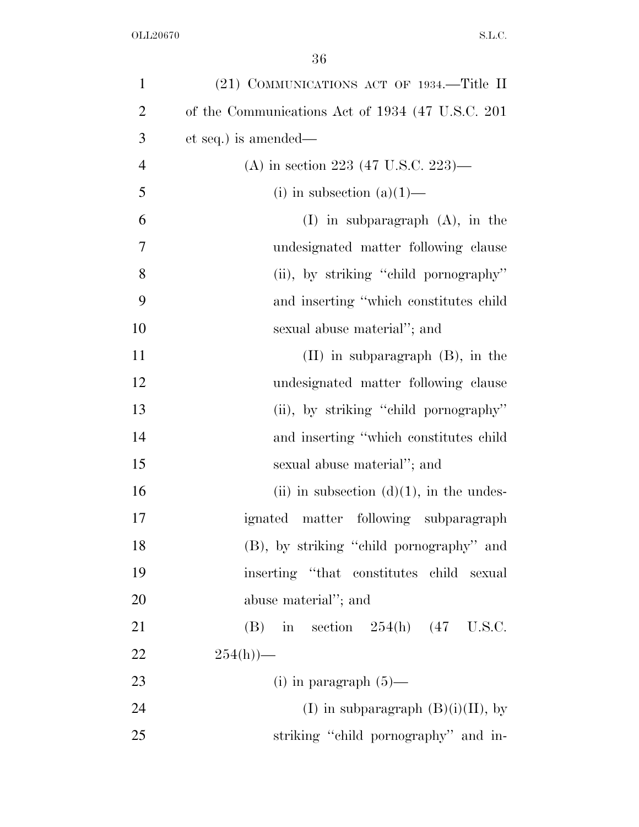| $\mathbf{1}$   | (21) COMMUNICATIONS ACT OF 1934.—Title II         |
|----------------|---------------------------------------------------|
| $\overline{2}$ | of the Communications Act of 1934 (47 U.S.C. 201) |
| 3              | et seq.) is amended—                              |
| $\overline{4}$ | (A) in section 223 (47 U.S.C. 223)—               |
| 5              | (i) in subsection $(a)(1)$ —                      |
| 6              | $(I)$ in subparagraph $(A)$ , in the              |
| 7              | undesignated matter following clause              |
| 8              | (ii), by striking "child pornography"             |
| 9              | and inserting "which constitutes child            |
| 10             | sexual abuse material"; and                       |
| 11             | $(II)$ in subparagraph $(B)$ , in the             |
| 12             | undesignated matter following clause              |
| 13             | (ii), by striking "child pornography"             |
| 14             | and inserting "which constitutes child            |
| 15             | sexual abuse material"; and                       |
| 16             | (ii) in subsection $(d)(1)$ , in the undes-       |
| 17             | ignated matter following subparagraph             |
| 18             | (B), by striking "child pornography" and          |
| 19             | inserting "that constitutes child sexual          |
| 20             | abuse material"; and                              |
| 21             | (B) in section $254(h)$ (47 U.S.C.                |
| 22             | $254(h)$ —                                        |
| 23             | (i) in paragraph $(5)$ —                          |
| 24             | (I) in subparagraph $(B)(i)(II)$ , by             |
| 25             | striking "child pornography" and in-              |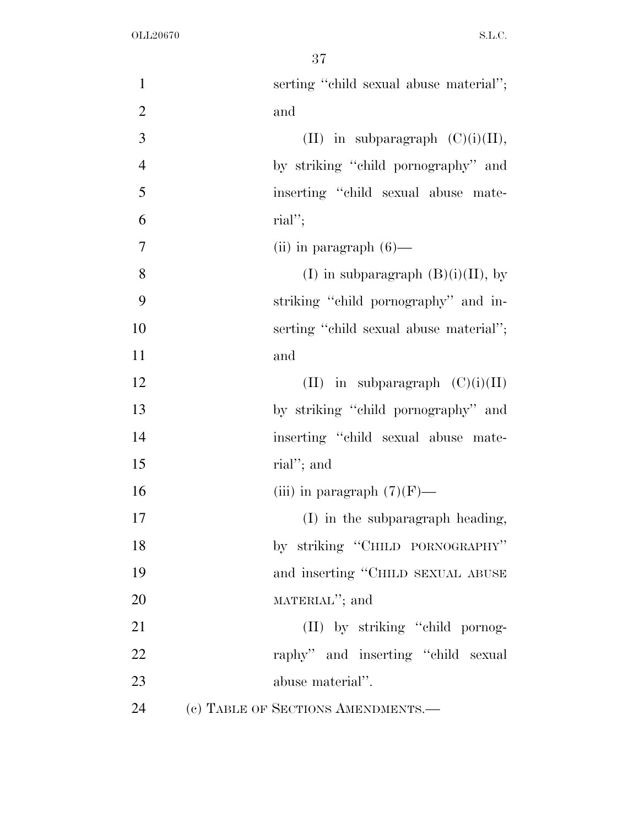| $\mathbf{1}$   | serting "child sexual abuse material"; |
|----------------|----------------------------------------|
| $\overline{2}$ | and                                    |
| 3              | (II) in subparagraph $(C)(i)(II)$ ,    |
| $\overline{4}$ | by striking "child pornography" and    |
| 5              | inserting "child sexual abuse mate-    |
| 6              | $\text{rial}''$ ;                      |
| $\overline{7}$ | (ii) in paragraph $(6)$ —              |
| 8              | (I) in subparagraph $(B)(i)(II)$ , by  |
| 9              | striking "child pornography" and in-   |
| 10             | serting "child sexual abuse material"; |
| 11             | and                                    |
| 12             | (II) in subparagraph $(C)(i)(II)$      |
| 13             | by striking "child pornography" and    |
| 14             | inserting "child sexual abuse mate-    |
| 15             | rial"; and                             |
| 16             | (iii) in paragraph $(7)(F)$ —          |
| 17             | (I) in the subparagraph heading,       |
| 18             | by striking "CHILD PORNOGRAPHY"        |
| 19             | and inserting "CHILD SEXUAL ABUSE      |
| 20             | MATERIAL"; and                         |
| 21             | (II) by striking "child pornog-        |
| 22             | raphy" and inserting "child sexual     |
| 23             | abuse material".                       |
| 24             | (c) TABLE OF SECTIONS AMENDMENTS.-     |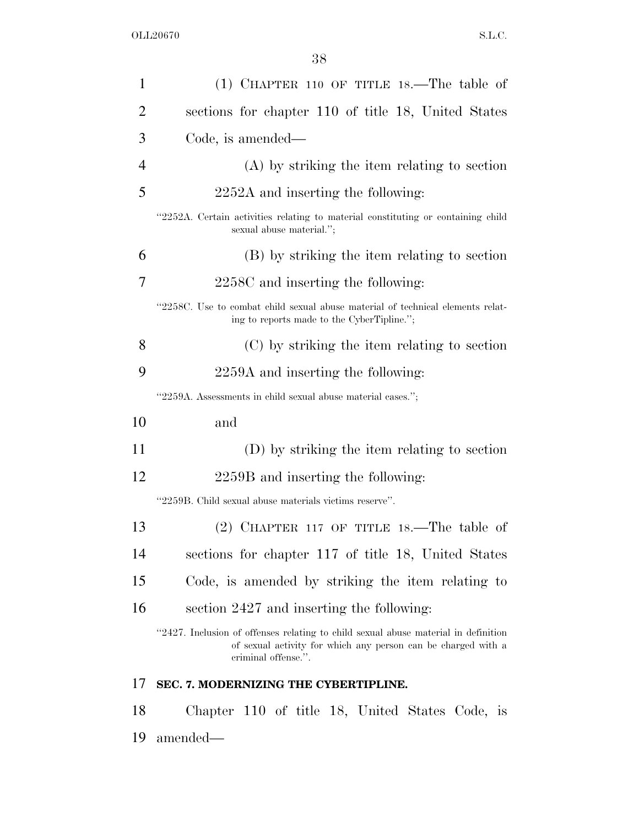| 1              | $(1)$ CHAPTER 110 OF TITLE 18.—The table of                                                                                                                                |
|----------------|----------------------------------------------------------------------------------------------------------------------------------------------------------------------------|
| $\overline{2}$ | sections for chapter 110 of title 18, United States                                                                                                                        |
| 3              | Code, is amended—                                                                                                                                                          |
| $\overline{4}$ | $(A)$ by striking the item relating to section                                                                                                                             |
| 5              | 2252A and inserting the following:                                                                                                                                         |
|                | "2252A. Certain activities relating to material constituting or containing child<br>sexual abuse material.";                                                               |
| 6              | (B) by striking the item relating to section                                                                                                                               |
| 7              | 2258C and inserting the following:                                                                                                                                         |
|                | "2258C. Use to combat child sexual abuse material of technical elements relat-<br>ing to reports made to the CyberTipline.";                                               |
| 8              | (C) by striking the item relating to section                                                                                                                               |
| 9              | 2259A and inserting the following:                                                                                                                                         |
|                | "2259A. Assessments in child sexual abuse material cases.";                                                                                                                |
| 10             | and                                                                                                                                                                        |
| 11             | (D) by striking the item relating to section                                                                                                                               |
| 12             | 2259B and inserting the following:                                                                                                                                         |
|                | "2259B. Child sexual abuse materials victims reserve".                                                                                                                     |
| 13             | (2) CHAPTER 117 OF TITLE 18.—The table of                                                                                                                                  |
| 14             | sections for chapter 117 of title 18, United States                                                                                                                        |
| 15             | Code, is amended by striking the item relating to                                                                                                                          |
| 16             | section 2427 and inserting the following:                                                                                                                                  |
|                | "2427. Inclusion of offenses relating to child sexual abuse material in definition<br>of sexual activity for which any person can be charged with a<br>criminal offense.". |
| 17             | SEC. 7. MODERNIZING THE CYBERTIPLINE.                                                                                                                                      |
| 18             | Chapter 110 of title 18, United States Code, is                                                                                                                            |

19 amended—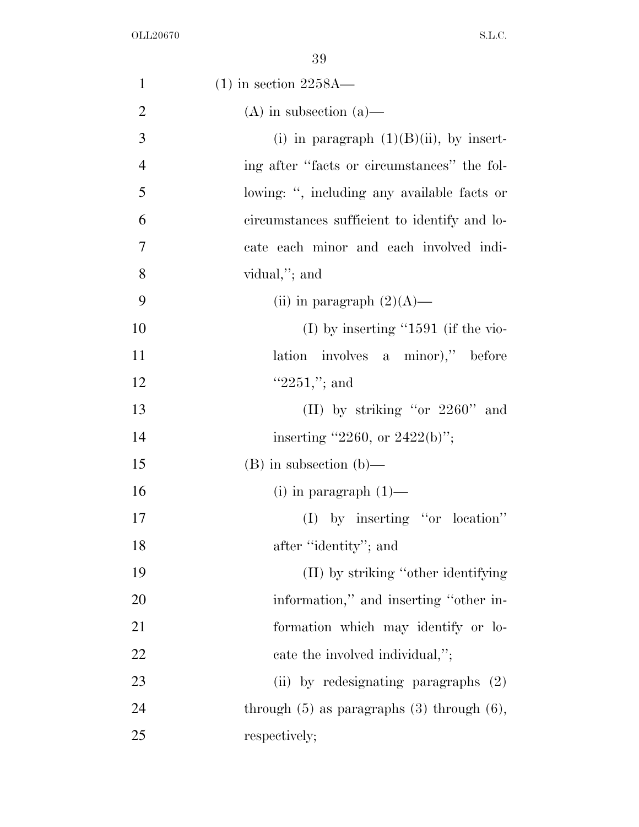| $\mathbf{1}$   | $(1)$ in section 2258A—                           |
|----------------|---------------------------------------------------|
| $\overline{2}$ | $(A)$ in subsection $(a)$ —                       |
| 3              | (i) in paragraph $(1)(B)(ii)$ , by insert-        |
| $\overline{4}$ | ing after "facts or circumstances" the fol-       |
| 5              | lowing: ", including any available facts or       |
| 6              | circumstances sufficient to identify and lo-      |
| $\tau$         | cate each minor and each involved indi-           |
| 8              | vidual,"; and                                     |
| 9              | (ii) in paragraph $(2)(A)$ —                      |
| 10             | $(I)$ by inserting "1591 (if the vio-             |
| 11             | lation involves a minor)," before                 |
| 12             | " $2251$ ,"; and                                  |
| 13             | (II) by striking "or $2260$ " and                 |
| 14             | inserting "2260, or 2422(b)";                     |
| 15             | $(B)$ in subsection $(b)$ —                       |
| 16             | $(i)$ in paragraph $(1)$ —                        |
| 17             | $(I)$ by inserting "or location"                  |
| 18             | after "identity"; and                             |
| 19             | (II) by striking "other identifying               |
| 20             | information," and inserting "other in-            |
| 21             | formation which may identify or lo-               |
| 22             | cate the involved individual,";                   |
| 23             | (ii) by redesignating paragraphs (2)              |
| 24             | through $(5)$ as paragraphs $(3)$ through $(6)$ , |
| 25             | respectively;                                     |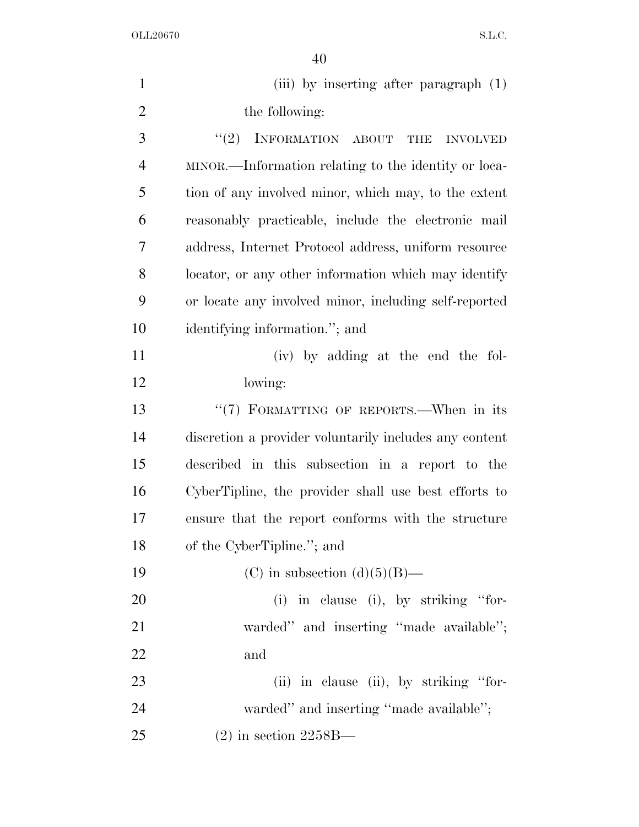| $\mathbf{1}$   | (iii) by inserting after paragraph (1)                 |
|----------------|--------------------------------------------------------|
| $\overline{2}$ | the following:                                         |
| 3              | INFORMATION ABOUT THE<br>(2)<br><b>INVOLVED</b>        |
| $\overline{4}$ | MINOR.—Information relating to the identity or loca-   |
| 5              | tion of any involved minor, which may, to the extent   |
| 6              | reasonably practicable, include the electronic mail    |
| 7              | address, Internet Protocol address, uniform resource   |
| 8              | locator, or any other information which may identify   |
| 9              | or locate any involved minor, including self-reported  |
| 10             | identifying information."; and                         |
| 11             | (iv) by adding at the end the fol-                     |
| 12             | lowing:                                                |
| 13             | "(7) FORMATTING OF REPORTS.—When in its                |
| 14             | discretion a provider voluntarily includes any content |
| 15             | described in this subsection in a report to the        |
| 16             | CyberTipline, the provider shall use best efforts to   |
| 17             | ensure that the report conforms with the structure     |
| 18             | of the CyberTipline."; and                             |
| 19             | (C) in subsection (d) $(5)(B)$ —                       |
| <b>20</b>      | (i) in clause (i), by striking "for-                   |
| 21             | warded" and inserting "made available";                |
| 22             | and                                                    |
| 23             | (ii) in clause (ii), by striking "for-                 |
| 24             | warded" and inserting "made available";                |
| 25             | $(2)$ in section 2258B—                                |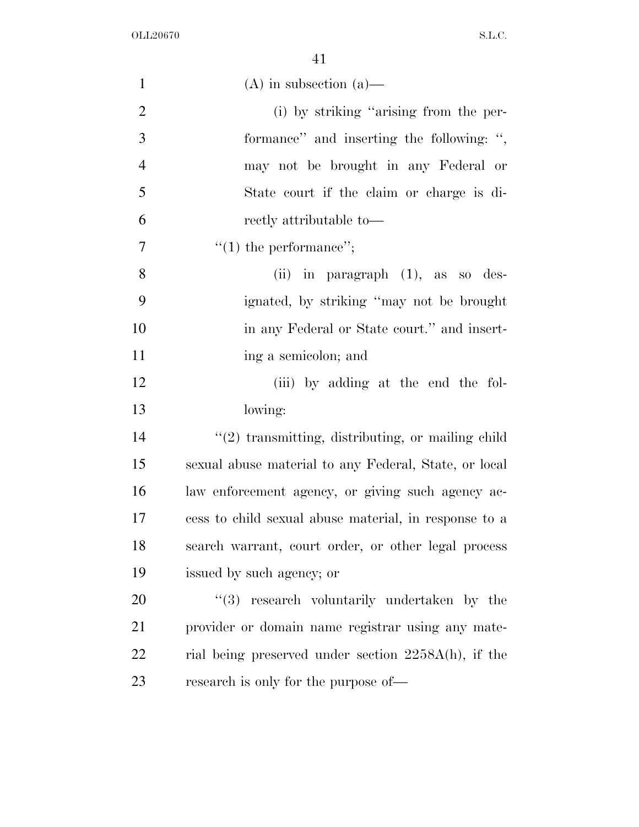| $\mathbf{1}$   | $(A)$ in subsection $(a)$ —                            |
|----------------|--------------------------------------------------------|
| $\overline{2}$ | (i) by striking "arising from the per-                 |
| 3              | formance" and inserting the following: ",              |
| $\overline{4}$ | may not be brought in any Federal or                   |
| 5              | State court if the claim or charge is di-              |
| 6              | rectly attributable to-                                |
| 7              | $"(1)$ the performance";                               |
| 8              | (ii) in paragraph $(1)$ , as so des-                   |
| 9              | ignated, by striking "may not be brought"              |
| 10             | in any Federal or State court." and insert-            |
| 11             | ing a semicolon; and                                   |
| 12             | (iii) by adding at the end the fol-                    |
| 13             | lowing:                                                |
| 14             | $"(2)$ transmitting, distributing, or mailing child    |
| 15             | sexual abuse material to any Federal, State, or local  |
| 16             | law enforcement agency, or giving such agency ac-      |
| 17             | cess to child sexual abuse material, in response to a  |
| 18             | search warrant, court order, or other legal process    |
| 19             | issued by such agency; or                              |
| 20             | $(3)$ research voluntarily undertaken by the           |
| 21             | provider or domain name registrar using any mate-      |
| 22             | rial being preserved under section $2258A(h)$ , if the |
| 23             | research is only for the purpose of—                   |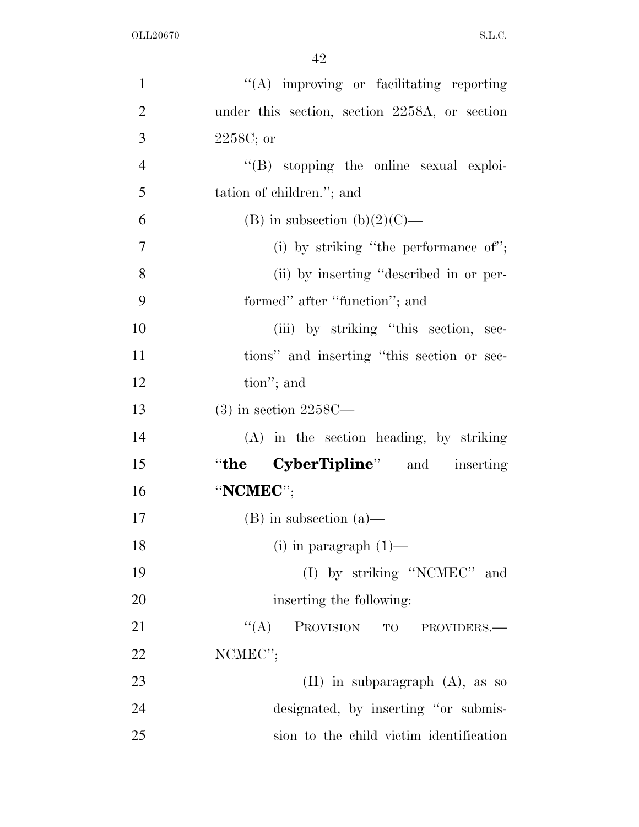| $\mathbf{1}$   | "(A) improving or facilitating reporting      |
|----------------|-----------------------------------------------|
| $\overline{2}$ | under this section, section 2258A, or section |
| 3              | $2258C$ ; or                                  |
| $\overline{4}$ | "(B) stopping the online sexual exploi-       |
| 5              | tation of children."; and                     |
| 6              | (B) in subsection (b)(2)(C)—                  |
| $\tau$         | (i) by striking "the performance of";         |
| 8              | (ii) by inserting "described in or per-       |
| 9              | formed" after "function"; and                 |
| 10             | (iii) by striking "this section, sec-         |
| 11             | tions" and inserting "this section or sec-    |
| 12             | tion"; and                                    |
| 13             | $(3)$ in section 2258C—                       |
| 14             | (A) in the section heading, by striking       |
| 15             | "the CyberTipline" and inserting              |
| 16             | "NCMEC";                                      |
| 17             | $(B)$ in subsection $(a)$ —                   |
| 18             | $(i)$ in paragraph $(1)$ —                    |
| 19             | (I) by striking "NCMEC" and                   |
| 20             | inserting the following:                      |
| 21             | ``(A)<br>PROVISION TO<br>PROVIDERS.-          |
| 22             | NCMEC";                                       |
| 23             | $(II)$ in subparagraph $(A)$ , as so          |
| 24             | designated, by inserting "or submis-          |
| 25             | sion to the child victim identification       |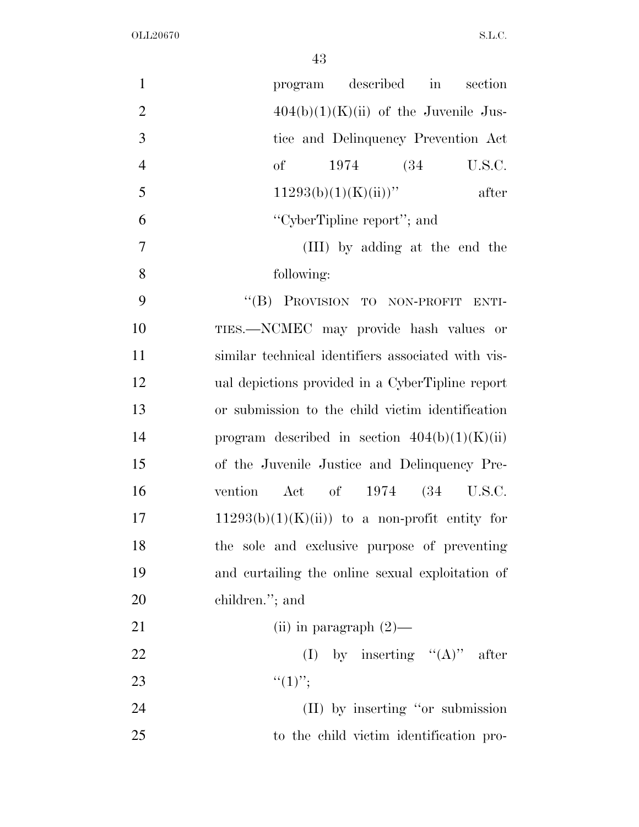| $\mathbf{1}$   | described in<br>section<br>program                 |
|----------------|----------------------------------------------------|
| $\overline{2}$ | $404(b)(1)(K)(ii)$ of the Juvenile Jus-            |
| 3              | tice and Delinquency Prevention Act                |
| $\overline{4}$ | of<br>1974 (34)<br>U.S.C.                          |
| 5              | $11293(b)(1)(K(ii))$ "<br>after                    |
| 6              | "CyberTipline report"; and                         |
| 7              | (III) by adding at the end the                     |
| 8              | following:                                         |
| 9              | "(B) PROVISION TO NON-PROFIT ENTI-                 |
| 10             | TIES.-NCMEC may provide hash values or             |
| 11             | similar technical identifiers associated with vis- |
| 12             | ual depictions provided in a CyberTipline report   |
| 13             | or submission to the child victim identification   |
| 14             | program described in section $404(b)(1)(K)(ii)$    |
| 15             | of the Juvenile Justice and Delinquency Pre-       |
| 16             | Act of 1974 (34 U.S.C.<br>vention                  |
| 17             | $11293(b)(1)(K)(ii)$ to a non-profit entity for    |
| 18             | the sole and exclusive purpose of preventing       |
| 19             | and curtailing the online sexual exploitation of   |
| 20             | children."; and                                    |
| 21             | (ii) in paragraph $(2)$ —                          |
| 22             | (I) by inserting $"({\bf A})"$ after               |
| 23             | $``(1)$ ";                                         |
| 24             | (II) by inserting "or submission                   |
| 25             | to the child victim identification pro-            |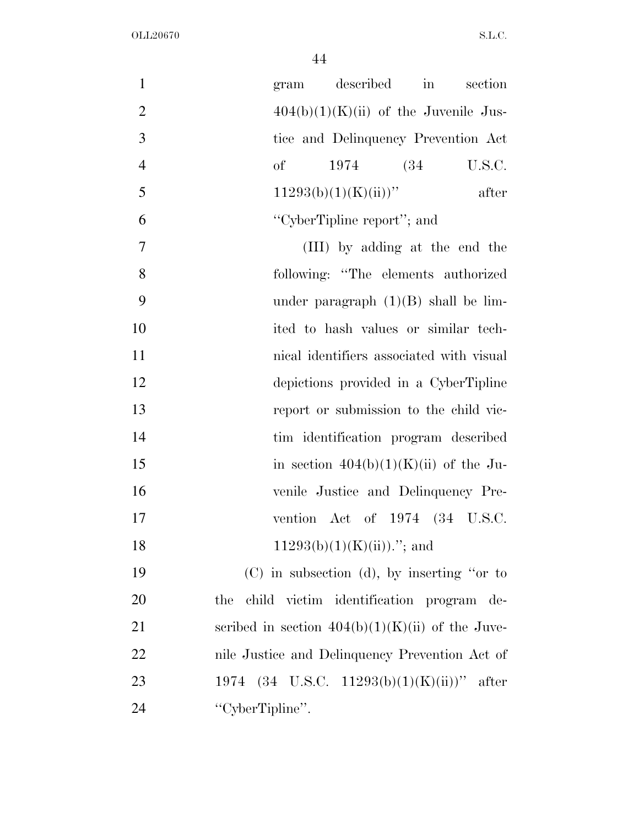| $\mathbf{1}$   | described<br>section<br>$\operatorname{in}$<br>gram |
|----------------|-----------------------------------------------------|
| $\overline{2}$ | $404(b)(1)(K)(ii)$ of the Juvenile Jus-             |
| 3              | tice and Delinquency Prevention Act                 |
| $\overline{4}$ | of<br>1974 (34)<br>U.S.C.                           |
| 5              | $11293(b)(1)(K(ii))$ "<br>after                     |
| 6              | "CyberTipline report"; and                          |
| 7              | (III) by adding at the end the                      |
| 8              | following: "The elements authorized                 |
| 9              | under paragraph $(1)(B)$ shall be lim-              |
| 10             | ited to hash values or similar tech-                |
| 11             | nical identifiers associated with visual            |
| 12             | depictions provided in a CyberTipline               |
| 13             | report or submission to the child vic-              |
| 14             | tim identification program described                |
| 15             | in section $404(b)(1)(K)(ii)$ of the Ju-            |
| 16             | venile Justice and Delinquency Pre-                 |
| 17             | vention Act of $1974$ $(34 \text{ U.S.C.})$         |
| 18             | $11293(b)(1)(K)(ii))$ ."; and                       |
| 19             | $(C)$ in subsection (d), by inserting "or to        |
| 20             | child victim identification program de-<br>the      |
| 21             | scribed in section $404(b)(1)(K)(ii)$ of the Juve-  |
| 22             | nile Justice and Delinquency Prevention Act of      |
| 23             | 1974 (34 U.S.C. 11293(b)(1)(K)(ii))" after          |
| 24             | "CyberTipline".                                     |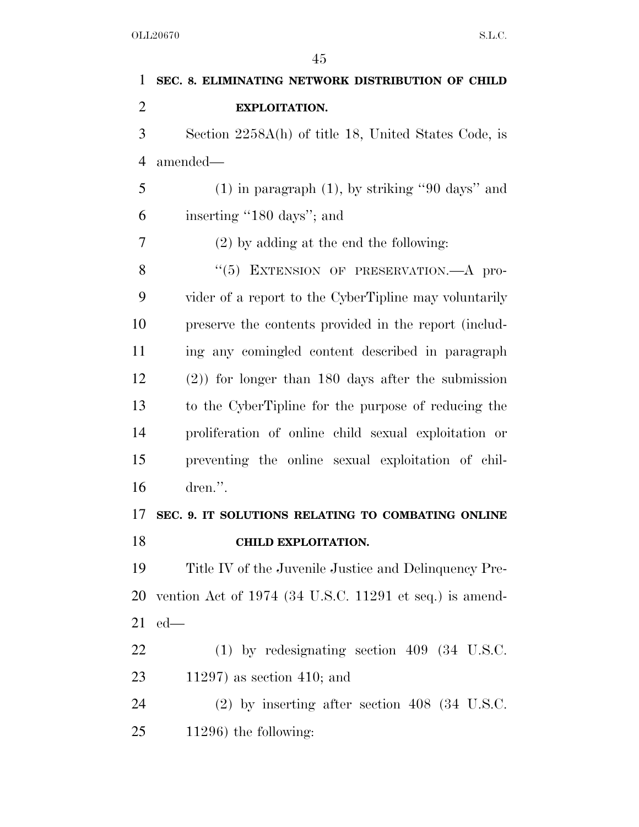| 1              | SEC. 8. ELIMINATING NETWORK DISTRIBUTION OF CHILD        |
|----------------|----------------------------------------------------------|
| $\overline{2}$ | <b>EXPLOITATION.</b>                                     |
| 3              | Section 2258A(h) of title 18, United States Code, is     |
| $\overline{4}$ | amended—                                                 |
| 5              | $(1)$ in paragraph $(1)$ , by striking "90 days" and     |
| 6              | inserting "180 days"; and                                |
| 7              | $(2)$ by adding at the end the following:                |
| 8              | "(5) EXTENSION OF PRESERVATION.—A pro-                   |
| 9              | vider of a report to the CyberTipline may voluntarily    |
| 10             | preserve the contents provided in the report (includ-    |
| 11             | ing any comingled content described in paragraph         |
| 12             | $(2)$ ) for longer than 180 days after the submission    |
| 13             | to the CyberTipline for the purpose of reducing the      |
| 14             | proliferation of online child sexual exploitation or     |
| 15             | preventing the online sexual exploitation of chil-       |
| 16             | dren.".                                                  |
| 17             | SEC. 9. IT SOLUTIONS RELATING TO COMBATING ONLINE        |
| 18             | <b>CHILD EXPLOITATION.</b>                               |
| 19             | Title IV of the Juvenile Justice and Delinquency Pre-    |
| 20             | vention Act of 1974 (34 U.S.C. 11291 et seq.) is amend-  |
| 21             | $ed$ —                                                   |
| 22             | $(1)$ by redesignating section 409 $(34 \text{ U.S.C.})$ |
| 23             | $11297$ ) as section 410; and                            |
| 24             | $(2)$ by inserting after section 408 (34 U.S.C.          |
| 25             | $11296$ ) the following:                                 |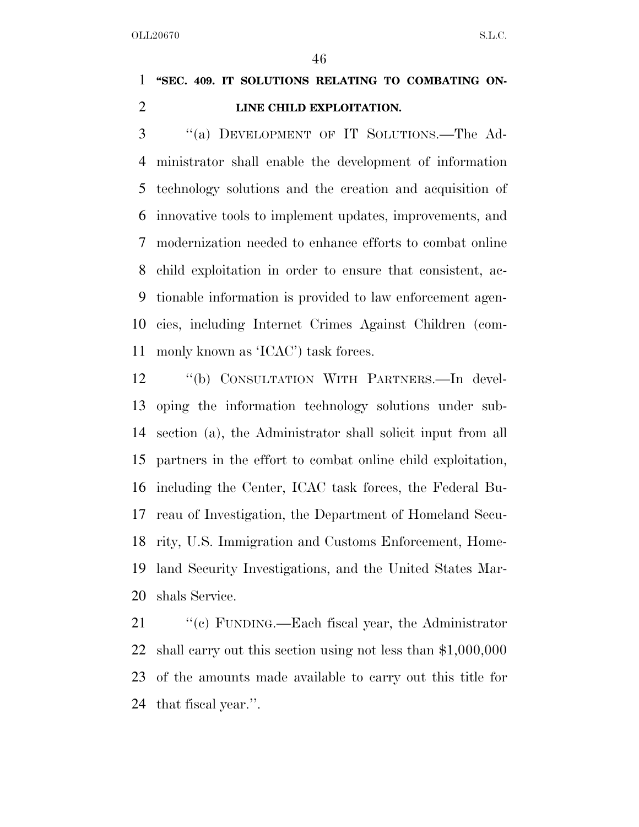# **''SEC. 409. IT SOLUTIONS RELATING TO COMBATING ON-LINE CHILD EXPLOITATION.**

 ''(a) DEVELOPMENT OF IT SOLUTIONS.—The Ad- ministrator shall enable the development of information technology solutions and the creation and acquisition of innovative tools to implement updates, improvements, and modernization needed to enhance efforts to combat online child exploitation in order to ensure that consistent, ac- tionable information is provided to law enforcement agen- cies, including Internet Crimes Against Children (com-monly known as 'ICAC') task forces.

 ''(b) CONSULTATION WITH PARTNERS.—In devel- oping the information technology solutions under sub- section (a), the Administrator shall solicit input from all partners in the effort to combat online child exploitation, including the Center, ICAC task forces, the Federal Bu- reau of Investigation, the Department of Homeland Secu- rity, U.S. Immigration and Customs Enforcement, Home- land Security Investigations, and the United States Mar-shals Service.

 ''(c) FUNDING.—Each fiscal year, the Administrator shall carry out this section using not less than \$1,000,000 of the amounts made available to carry out this title for that fiscal year.''.